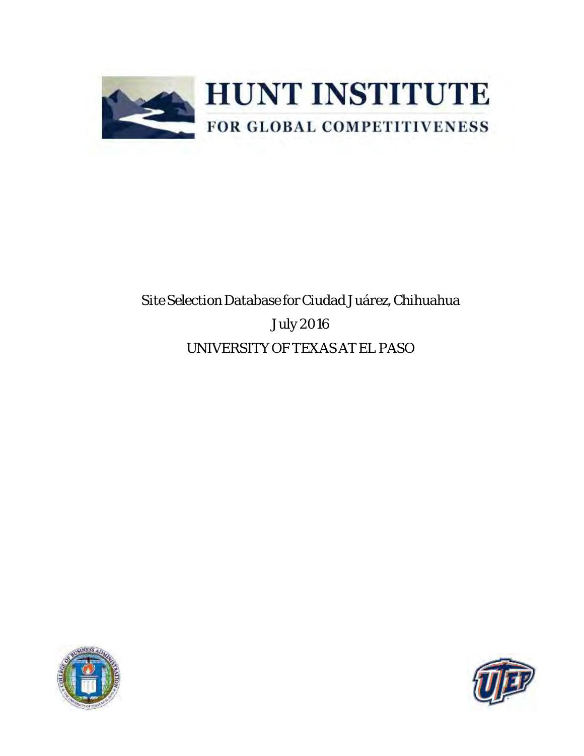

# Site Selection Database for Ciudad Juárez, Chihuahua July 2016 UNIVERSITY OF TEXAS AT EL PASO



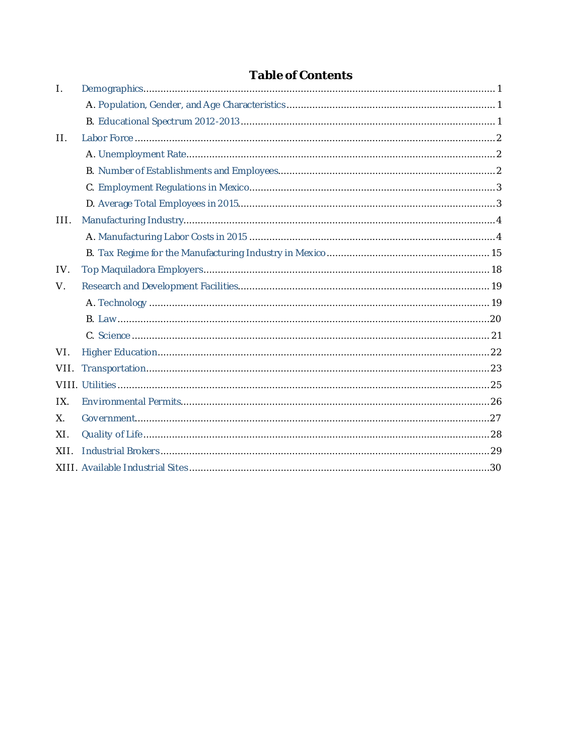| $\mathsf{L}$ |  |
|--------------|--|
|              |  |
|              |  |
| $\prod$      |  |
|              |  |
|              |  |
|              |  |
|              |  |
| III.         |  |
|              |  |
|              |  |
| IV.          |  |
| $V_{\cdot}$  |  |
|              |  |
|              |  |
|              |  |
| VI.          |  |
| VII.         |  |
|              |  |
| IX.          |  |
| $X_{1}$      |  |
| XI.          |  |
| XII.         |  |
|              |  |

## Table of Contents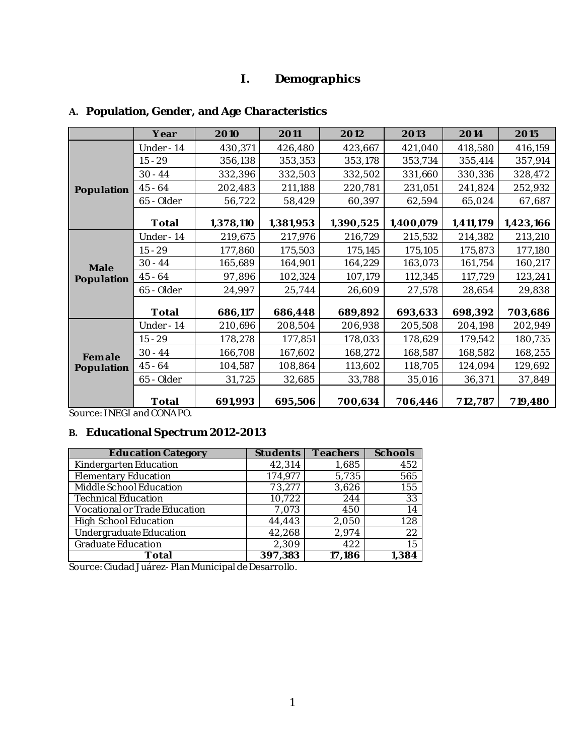### **I. Demographics**

|            | Year       | 2010      | 2011      | 2012      | 2013      | 2014      | 2015      |
|------------|------------|-----------|-----------|-----------|-----------|-----------|-----------|
|            | Under - 14 | 430,371   | 426,480   | 423,667   | 421,040   | 418,580   | 416,159   |
|            | $15 - 29$  | 356,138   | 353,353   | 353,178   | 353,734   | 355,414   | 357,914   |
|            | $30 - 44$  | 332,396   | 332,503   | 332,502   | 331,660   | 330,336   | 328,472   |
| Population | $45 - 64$  | 202,483   | 211,188   | 220,781   | 231,051   | 241,824   | 252,932   |
|            | 65 - Older | 56,722    | 58,429    | 60,397    | 62,594    | 65,024    | 67,687    |
|            | Total      | 1,378,110 | 1,381,953 | 1,390,525 | 1,400,079 | 1,411,179 | 1,423,166 |
|            | Under - 14 | 219,675   | 217,976   | 216,729   | 215,532   | 214,382   | 213,210   |
|            | $15 - 29$  | 177,860   | 175,503   | 175,145   | 175,105   | 175,873   | 177,180   |
| Male       | $30 - 44$  | 165,689   | 164,901   | 164,229   | 163,073   | 161,754   | 160,217   |
| Population | $45 - 64$  | 97,896    | 102,324   | 107,179   | 112,345   | 117,729   | 123,241   |
|            | 65 - Older | 24,997    | 25,744    | 26,609    | 27,578    | 28,654    | 29,838    |
|            | Total      | 686,117   | 686,448   | 689,892   | 693,633   | 698,392   | 703,686   |
|            | Under - 14 | 210,696   | 208,504   | 206,938   | 205,508   | 204,198   | 202,949   |
|            | $15 - 29$  | 178,278   | 177,851   | 178,033   | 178,629   | 179,542   | 180,735   |
| Female     | $30 - 44$  | 166,708   | 167,602   | 168,272   | 168,587   | 168,582   | 168,255   |
| Population | $45 - 64$  | 104,587   | 108,864   | 113,602   | 118,705   | 124,094   | 129,692   |
|            | 65 - Older | 31,725    | 32,685    | 33,788    | 35,016    | 36,371    | 37,849    |
|            | Total      | 691,993   | 695,506   | 700,634   | 706,446   | 712,787   | 719,480   |

### <span id="page-2-1"></span><span id="page-2-0"></span>**A. Population, Gender, and Age Characteristics**

Source: INEGI and CONAPO.

## <span id="page-2-2"></span>**B. Educational Spectrum 2012-2013**

| <b>Education Category</b>     | Students | Teachers | Schools |
|-------------------------------|----------|----------|---------|
| Kindergarten Education        | 42,314   | 1,685    | 452     |
| <b>Elementary Education</b>   | 174,977  | 5,735    | 565     |
| Middle School Education       | 73,277   | 3,626    | 155     |
| <b>Technical Education</b>    | 10,722   | 244      | 33      |
| Vocational or Trade Education | 7,073    | 450      | 14      |
| <b>High School Education</b>  | 44,443   | 2,050    | 128     |
| Undergraduate Education       | 42,268   | 2,974    | 22      |
| <b>Graduate Education</b>     | 2,309    | 422      | 15      |
| Total                         | 397,383  | 17,186   | 1,384   |

Source: Ciudad Juárez- Plan Municipal de Desarrollo.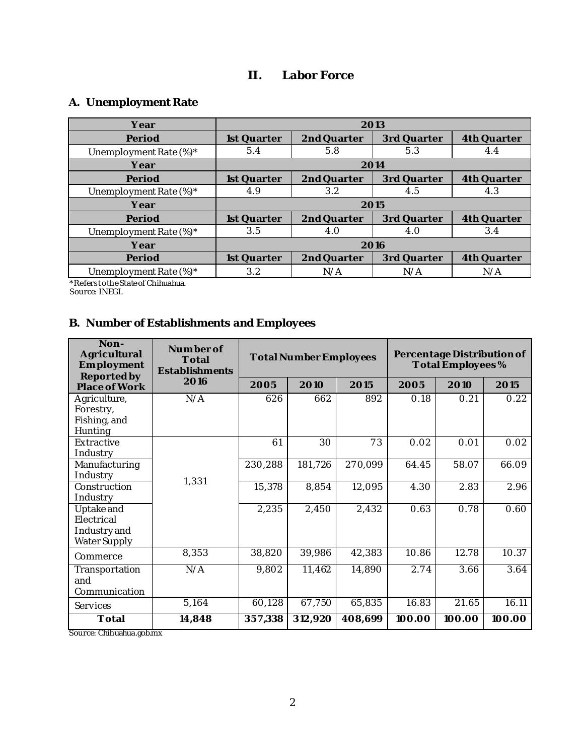## **II. Labor Force**

## <span id="page-3-1"></span><span id="page-3-0"></span>**A. Unemployment Rate**

| Year                   | 2013        |             |             |             |  |  |
|------------------------|-------------|-------------|-------------|-------------|--|--|
| Period                 | 1st Quarter | 2nd Quarter | 3rd Quarter | 4th Quarter |  |  |
| Unemployment Rate (%)* | 5.4         | 5.8         | 5.3         | 4.4         |  |  |
| Year                   |             | 2014        |             |             |  |  |
| Period                 | 1st Quarter | 2nd Quarter | 3rd Quarter | 4th Quarter |  |  |
| Unemployment Rate (%)* | 4.9         | 3.2         | 4.5         | 4.3         |  |  |
| Year                   |             | 2015        |             |             |  |  |
| Period                 | 1st Quarter | 2nd Quarter | 3rd Quarter | 4th Quarter |  |  |
| Unemployment Rate (%)* | 3.5         | 4.0         | 4.0         | 3.4         |  |  |
| Year                   | 2016        |             |             |             |  |  |
| Period                 | 1st Quarter | 2nd Quarter | 3rd Quarter | 4th Quarter |  |  |
| Unemployment Rate (%)* | 3.2         | N/A         | N/A         | N/A         |  |  |

\*Refers to the State of Chihuahua.

Source: INEGI.

## <span id="page-3-2"></span>**B. Number of Establishments and Employees**

| Non-<br>Agricultural<br>Employment<br>Reported by        | Number of<br>Total<br>Establishments | <b>Total Number Employees</b> |         |         | Percentage Distribution of<br>Total Employees% |        |        |
|----------------------------------------------------------|--------------------------------------|-------------------------------|---------|---------|------------------------------------------------|--------|--------|
| Place of Work                                            | 2016                                 | 2005                          | 2010    | 2015    | 2005                                           | 2010   | 2015   |
| Agriculture,<br>Forestry,<br>Fishing, and<br>Hunting     | N/A                                  | 626                           | 662     | 892     | 0.18                                           | 0.21   | 0.22   |
| Extractive<br>Industry                                   | 1,331                                | 61                            | 30      | 73      | 0.02                                           | 0.01   | 0.02   |
| Manufacturing<br>Industry                                |                                      | 230,288                       | 181,726 | 270,099 | 64.45                                          | 58.07  | 66.09  |
| Construction<br>Industry                                 |                                      | 15,378                        | 8,854   | 12,095  | 4.30                                           | 2.83   | 2.96   |
| Uptake and<br>Electrical<br>Industry and<br>Water Supply |                                      | 2,235                         | 2,450   | 2,432   | 0.63                                           | 0.78   | 0.60   |
| Commerce                                                 | 8,353                                | 38,820                        | 39,986  | 42,383  | 10.86                                          | 12.78  | 10.37  |
| Transportation<br>and<br>Communication                   | N/A                                  | $\overline{9}$ ,802           | 11,462  | 14,890  | 2.74                                           | 3.66   | 3.64   |
| Services                                                 | 5,164                                | 60,128                        | 67,750  | 65,835  | 16.83                                          | 21.65  | 16.11  |
| Total                                                    | 14,848                               | 357,338                       | 312,920 | 408,699 | 100.00                                         | 100.00 | 100.00 |

Source: Chihuahua.gob.mx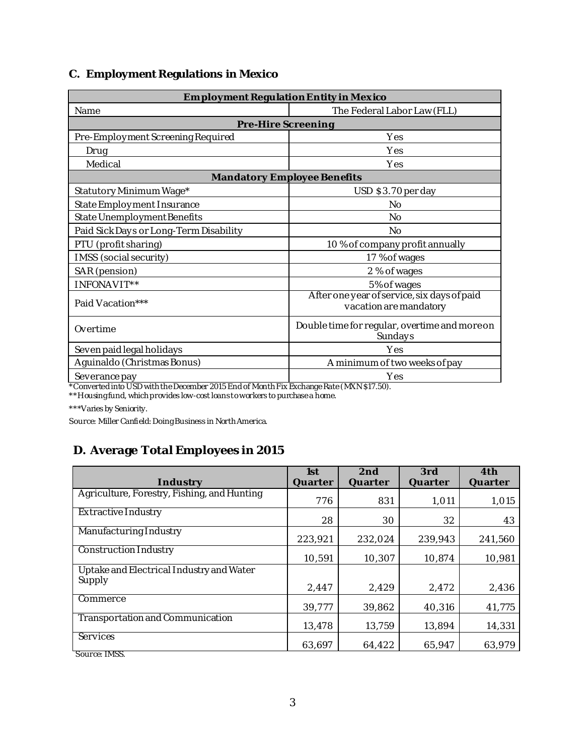### <span id="page-4-0"></span>**C. Employment Regulations in Mexico**

| Employment Regulation Entity in Mexico |                                                                       |  |  |  |
|----------------------------------------|-----------------------------------------------------------------------|--|--|--|
| Name                                   | The Federal Labor Law (FLL)                                           |  |  |  |
| Pre-Hire Screening                     |                                                                       |  |  |  |
| Pre-Employment Screening Required      | Yes                                                                   |  |  |  |
| Drug                                   | Yes                                                                   |  |  |  |
| Medical                                | Yes                                                                   |  |  |  |
| Mandatory Employee Benefits            |                                                                       |  |  |  |
| Statutory Minimum Wage*                | USD \$3.70 per day                                                    |  |  |  |
| State Employment Insurance             | No                                                                    |  |  |  |
| State Unemployment Benefits            | No                                                                    |  |  |  |
| Paid Sick Days or Long-Term Disability | No                                                                    |  |  |  |
| PTU (profit sharing)                   | 10% of company profit annually                                        |  |  |  |
| IMSS (social security)                 | 17 % of wages                                                         |  |  |  |
| SAR (pension)                          | 2 % of wages                                                          |  |  |  |
| INFONAVIT**                            | 5% of wages                                                           |  |  |  |
| Paid Vacation***                       | After one year of service, six days of paid<br>vacation are mandatory |  |  |  |
| Overtime                               | Double time for regular, overtime and more on<br>Sundays              |  |  |  |
| Seven paid legal holidays              | Yes                                                                   |  |  |  |
| Aguinaldo (Christmas Bonus)            | A minimum of two weeks of pay                                         |  |  |  |
| Severance pay                          | Yes                                                                   |  |  |  |

\*Converted into USD with the December 2015 End of Month Fix Exchange Rate (MXN \$17.50).

\*\*Housing fund, which provides low-cost loans to workers to purchase a home.

\*\*\*Varies by Seniority.

Source: Miller Canfield: Doing Business in North America.

## <span id="page-4-1"></span>**D. Average Total Employees in 2015**

| Industry                                           | 1st<br>Quarter | 2nd<br>Quarter | 3rd<br>Quarter | 4th<br>Quarter |
|----------------------------------------------------|----------------|----------------|----------------|----------------|
|                                                    |                |                |                |                |
| Agriculture, Forestry, Fishing, and Hunting        | 776            | 831            | 1,011          | 1,015          |
| Extractive Industry                                | 28             | 30             | 32             | 43             |
| Manufacturing Industry                             | 223,921        | 232,024        | 239,943        | 241,560        |
| Construction Industry                              | 10,591         | 10,307         | 10.874         | 10,981         |
| Uptake and Electrical Industry and Water<br>Supply |                |                |                |                |
|                                                    | 2,447          | 2,429          | 2,472          | 2,436          |
| Commerce                                           | 39,777         | 39,862         | 40,316         | 41,775         |
| Transportation and Communication                   | 13,478         | 13,759         | 13,894         | 14,331         |
| Services                                           | 63,697         | 64,422         | 65.947         | 63,979         |
| Source: IMSS.                                      |                |                |                |                |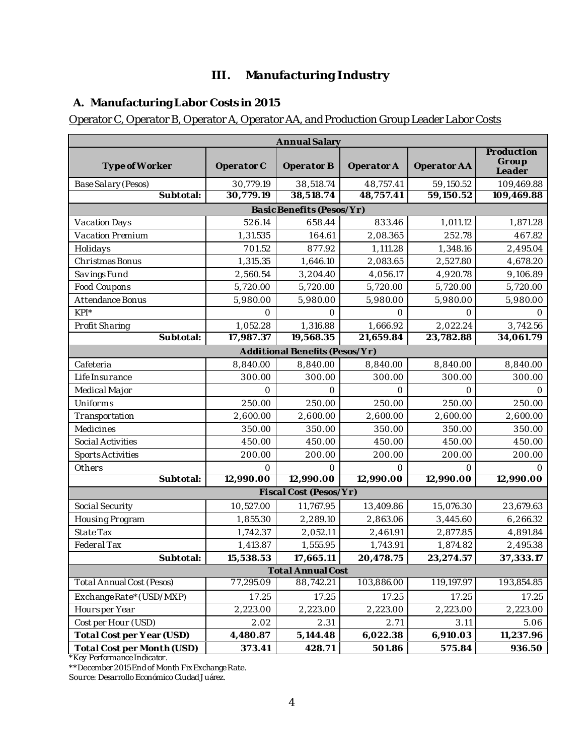## **III. Manufacturing Industry**

## <span id="page-5-1"></span><span id="page-5-0"></span>**A. Manufacturing Labor Costs in 2015**

#### Operator C, Operator B, Operator A, Operator AA, and Production Group Leader Labor Costs

|                                  | Annual Salary |                                |            |             |                               |  |  |
|----------------------------------|---------------|--------------------------------|------------|-------------|-------------------------------|--|--|
| Type of Worker                   | Operator C    | Operator B                     | Operator A | Operator AA | Production<br>Group<br>Leader |  |  |
| Base Salary (Pesos)              | 30,779.19     | 38,518.74                      | 48,757.41  | 59,150.52   | 109,469.88                    |  |  |
| Subtotal:                        | 30,779.19     | 38,518.74                      | 48,757.41  | 59,150.52   | 109,469.88                    |  |  |
|                                  |               | Basic Benefits (Pesos/Yr)      |            |             |                               |  |  |
| Vacation Days                    | 526.14        | 658.44                         | 833.46     | 1,011.12    | 1,871.28                      |  |  |
| Vacation Premium                 | 1,31.535      | 164.61                         | 2,08.365   | 252.78      | 467.82                        |  |  |
| Holidays                         | 701.52        | 877.92                         | 1,111.28   | 1,348.16    | 2,495.04                      |  |  |
| Christmas Bonus                  | 1,315.35      | 1,646.10                       | 2,083.65   | 2,527.80    | 4,678.20                      |  |  |
| Savings Fund                     | 2,560.54      | 3,204.40                       | 4,056.17   | 4,920.78    | 9,106.89                      |  |  |
| Food Coupons                     | 5,720.00      | 5,720.00                       | 5,720.00   | 5,720.00    | 5,720.00                      |  |  |
| Attendance Bonus                 | 5,980.00      | 5,980.00                       | 5,980.00   | 5,980.00    | 5,980.00                      |  |  |
| $KPI^*$                          | $\bigcirc$    | $\bigcirc$                     | $\Omega$   | $\bigcirc$  | $\bigcap$                     |  |  |
| Profit Sharing                   | 1,052.28      | 1,316.88                       | 1,666.92   | 2,022.24    | 3,742.56                      |  |  |
| Subtotal:                        | 17,987.37     | 19,568.35                      | 21,659.84  | 23,782.88   | 34,061.79                     |  |  |
|                                  |               | Additional Benefits (Pesos/Yr) |            |             |                               |  |  |
| Cafeteria                        | 8,840.00      | 8,840.00                       | 8,840.00   | 8,840.00    | 8,840.00                      |  |  |
| Life Insurance                   | 300.00        | 300.00                         | 300.00     | 300.00      | 300.00                        |  |  |
| Medical Major                    | $\bigcirc$    | $\bigcirc$                     | $\bigcirc$ | $\bigcirc$  | $\bigcap$                     |  |  |
| Uniforms                         | 250.00        | 250.00                         | 250.00     | 250.00      | 250.00                        |  |  |
| Transportation                   | 2,600.00      | 2,600.00                       | 2,600.00   | 2,600.00    | 2,600.00                      |  |  |
| Medicines                        | 350.00        | 350.00                         | 350.00     | 350.00      | 350.00                        |  |  |
| Social Activities                | 450.00        | 450.00                         | 450.00     | 450.00      | 450.00                        |  |  |
| <b>Sports Activities</b>         | 200.00        | 200.00                         | 200.00     | 200.00      | 200.00                        |  |  |
| Others                           | $\circ$       | $\circ$                        | $\circ$    | $\circ$     | $\Omega$                      |  |  |
| Subtotal:                        | 12,990.00     | 12,990.00                      | 12,990.00  | 12,990.00   | 12,990.00                     |  |  |
|                                  |               | Fiscal Cost (Pesos/Yr)         |            |             |                               |  |  |
| Social Security                  | 10,527.00     | 11,767.95                      | 13,409.86  | 15,076.30   | 23,679.63                     |  |  |
| Housing Program                  | 1,855.30      | 2,289.10                       | 2,863.06   | 3,445.60    | 6,266.32                      |  |  |
| State Tax                        | 1,742.37      | 2,052.11                       | 2,461.91   | 2,877.85    | 4,891.84                      |  |  |
| Federal Tax                      | 1,413.87      | 1,555.95                       | 1,743.91   | 1,874.82    | 2,495.38                      |  |  |
| Subtotal:                        | 15,538.53     | 17,665.11                      | 20,478.75  | 23, 274.57  | 37,333.17                     |  |  |
|                                  |               | <b>Total Annual Cost</b>       |            |             |                               |  |  |
| <b>Total Annual Cost (Pesos)</b> | 77,295.09     | 88,742.21                      | 103,886.00 | 119,197.97  | 193,854.85                    |  |  |
| ExchangeRate*(USD/MXP)           | 17.25         | 17.25                          | 17.25      | 17.25       | 17.25                         |  |  |
| Hoursper Year                    | 2,223.00      | 2,223.00                       | 2,223.00   | 2,223.00    | 2,223.00                      |  |  |
| Cost per Hour (USD)              | 2.02          | 2.31                           | 2.71       | 3.11        | 5.06                          |  |  |
| Total Cost per Year (USD)        | 4,480.87      | 5,144.48                       | 6,022.38   | 6,910.03    | 11,237.96                     |  |  |
| Total Cost per Month (USD)       | 373.41        | 428.71                         | 501.86     | 575.84      | 936.50                        |  |  |

\*Key Performance Indicator.

\*\*December 2015 End of Month Fix Exchange Rate.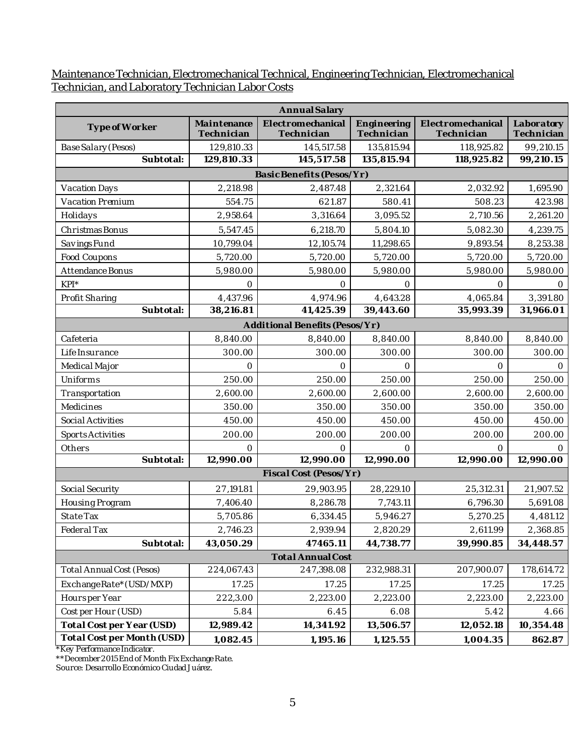#### Maintenance Technician, Electromechanical Technical, Engineering Technician, Electromechanical Technician, and Laboratory Technician Labor Costs

|                                  | Annual Salary             |                                 |                           |                                 |                          |  |  |  |
|----------------------------------|---------------------------|---------------------------------|---------------------------|---------------------------------|--------------------------|--|--|--|
| Type of Worker                   | Maintenance<br>Technician | Electromechanical<br>Technician | Engineering<br>Technician | Electromechanical<br>Technician | Laboratory<br>Technician |  |  |  |
| Base Salary (Pesos)              | 129,810.33                | 145,517.58                      | 135,815.94                | 118,925.82                      | 99,210.15                |  |  |  |
| Subtotal:                        | 129,810.33                | 145,517.58                      | 135,815.94                | 118,925.82                      | 99,210.15                |  |  |  |
|                                  |                           | Basic Benefits (Pesos/Yr)       |                           |                                 |                          |  |  |  |
| Vacation Days                    | 2,218.98                  | 2,487.48                        | 2,321.64                  | 2,032.92                        | 1,695.90                 |  |  |  |
| Vacation Premium                 | 554.75                    | 621.87                          | 580.41                    | 508.23                          | 423.98                   |  |  |  |
| Holidays                         | 2,958.64                  | 3,316.64                        | 3,095.52                  | 2,710.56                        | 2,261.20                 |  |  |  |
| Christmas Bonus                  | 5,547.45                  | 6,218.70                        | 5,804.10                  | 5,082.30                        | 4,239.75                 |  |  |  |
| Savings Fund                     | 10,799.04                 | 12,105.74                       | 11,298.65                 | 9,893.54                        | 8,253.38                 |  |  |  |
| Food Coupons                     | 5,720.00                  | 5,720.00                        | 5,720.00                  | 5,720.00                        | 5,720.00                 |  |  |  |
| Attendance Bonus                 | 5,980.00                  | 5,980.00                        | 5,980.00                  | 5,980.00                        | 5,980.00                 |  |  |  |
| $KPI^*$                          | 0                         | 0                               | $\circ$                   | 0                               | $\circ$                  |  |  |  |
| Profit Sharing                   | 4,437.96                  | 4,974.96                        | 4,643.28                  | 4,065.84                        | 3,391.80                 |  |  |  |
| Subtotal:                        | 38,216.81                 | 41,425.39                       | 39,443.60                 | 35,993.39                       | 31,966.01                |  |  |  |
|                                  |                           | Additional Benefits (Pesos/Yr)  |                           |                                 |                          |  |  |  |
| Cafeteria                        | 8,840.00                  | 8,840.00                        | 8,840.00                  | 8,840.00                        | 8,840.00                 |  |  |  |
| Life Insurance                   | 300.00                    | 300.00                          | 300.00                    | 300.00                          | 300.00                   |  |  |  |
| Medical Major                    | $\Omega$                  | $\Omega$                        | $\Omega$                  | $\Omega$                        | $\Omega$                 |  |  |  |
| Uniforms                         | 250.00                    | 250.00                          | 250.00                    | 250.00                          | 250.00                   |  |  |  |
| Transportation                   | 2,600.00                  | 2,600.00                        | 2,600.00                  | 2,600.00                        | 2,600.00                 |  |  |  |
| Medicines                        | 350.00                    | 350.00                          | 350.00                    | 350.00                          | 350.00                   |  |  |  |
| Social Activities                | 450.00                    | 450.00                          | 450.00                    | 450.00                          | 450.00                   |  |  |  |
| <b>Sports Activities</b>         | 200.00                    | 200.00                          | 200.00                    | 200.00                          | 200.00                   |  |  |  |
| Others                           | $\bigcirc$                | 0                               | $\bigcirc$                | $\bigcap$                       | 0                        |  |  |  |
| Subtotal:                        | 12,990.00                 | 12,990.00                       | 12,990.00                 | 12,990.00                       | 12,990.00                |  |  |  |
|                                  |                           | Fiscal Cost (Pesos/Yr)          |                           |                                 |                          |  |  |  |
| Social Security                  | 27,191.81                 | 29,903.95                       | 28,229.10                 | 25,312.31                       | 21,907.52                |  |  |  |
| Housing Program                  | 7,406.40                  | 8,286.78                        | 7,743.11                  | 6,796.30                        | 5,691.08                 |  |  |  |
| State Tax                        | 5,705.86                  | 6,334.45                        | 5,946.27                  | 5,270.25                        | 4,481.12                 |  |  |  |
| Federal Tax                      | 2,746.23                  | 2,939.94                        | 2,820.29                  | 2,611.99                        | 2,368.85                 |  |  |  |
| Subtotal:                        | 43,050.29                 | 47465.11                        | 44,738.77                 | 39,990.85                       | 34,448.57                |  |  |  |
|                                  |                           | <b>Total Annual Cost</b>        |                           |                                 |                          |  |  |  |
| <b>Total Annual Cost (Pesos)</b> | 224,067.43                | 247,398.08                      | 232,988.31                | 207,900.07                      | 178,614.72               |  |  |  |
| ExchangeRate*(USD/MXP)           | 17.25                     | 17.25                           | 17.25                     | 17.25                           | 17.25                    |  |  |  |
| Hoursper Year                    | 222,3.00                  | 2,223.00                        | 2,223.00                  | 2,223.00                        | 2,223.00                 |  |  |  |
| Cost per Hour (USD)              | 5.84                      | 6.45                            | 6.08                      | 5.42                            | 4.66                     |  |  |  |
| Total Cost per Year (USD)        | 12,989.42                 | 14,341.92                       | 13,506.57                 | 12,052.18                       | 10,354.48                |  |  |  |
| Total Cost per Month (USD)       | 1,082.45                  | 1,195.16                        | 1,125.55                  | 1,004.35                        | 862.87                   |  |  |  |

\*Key Performance Indicator.

\*\*December 2015 End of Month Fix Exchange Rate.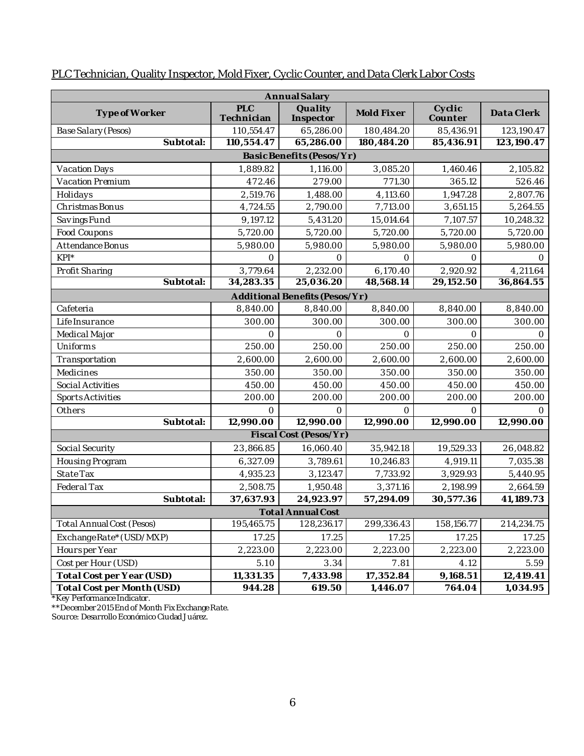| Annual Salary              |                   |                                |            |                   |            |  |  |
|----------------------------|-------------------|--------------------------------|------------|-------------------|------------|--|--|
| Type of Worker             | PLC<br>Technician | Quality<br>Inspector           | Mold Fixer | Cyclic<br>Counter | Data Clerk |  |  |
| Base Salary (Pesos)        | 110,554.47        | 65,286.00                      | 180,484.20 | 85,436.91         | 123,190.47 |  |  |
| Subtotal:                  | 110,554.47        | 65,286.00                      | 180,484.20 | 85,436.91         | 123,190.47 |  |  |
|                            |                   | Basic Benefits (Pesos/Yr)      |            |                   |            |  |  |
| Vacation Days              | 1,889.82          | 1,116.00                       | 3,085.20   | 1,460.46          | 2,105.82   |  |  |
| Vacation Premium           | 472.46            | 279.00                         | 771.30     | 365.12            | 526.46     |  |  |
| Holidays                   | 2,519.76          | 1,488.00                       | 4,113.60   | 1,947.28          | 2,807.76   |  |  |
| Christmas Bonus            | 4,724.55          | 2,790.00                       | 7,713.00   | 3,651.15          | 5,264.55   |  |  |
| Savings Fund               | 9,197.12          | 5,431.20                       | 15,014.64  | 7,107.57          | 10,248.32  |  |  |
| Food Coupons               | 5,720.00          | 5,720.00                       | 5,720.00   | 5,720.00          | 5,720.00   |  |  |
| Attendance Bonus           | 5,980.00          | 5,980.00                       | 5,980.00   | 5,980.00          | 5,980.00   |  |  |
| $KPI^*$                    | $\bigcirc$        | $\bigcirc$                     | $\bigcirc$ | $\bigcirc$        | $\bigcap$  |  |  |
| Profit Sharing             | 3,779.64          | 2,232.00                       | 6,170.40   | 2,920.92          | 4,211.64   |  |  |
| Subtotal:                  | 34,283.35         | 25,036.20                      | 48,568.14  | 29,152.50         | 36,864.55  |  |  |
|                            |                   | Additional Benefits (Pesos/Yr) |            |                   |            |  |  |
| Cafeteria                  | 8,840.00          | 8,840.00                       | 8,840.00   | 8,840.00          | 8,840.00   |  |  |
| Life Insurance             | 300.00            | 300.00                         | 300.00     | 300.00            | 300.00     |  |  |
| Medical Major              | $\circ$           | 0                              | $\bigcirc$ | $\Omega$          | $\bigcirc$ |  |  |
| Uniforms                   | 250.00            | 250.00                         | 250.00     | 250.00            | 250.00     |  |  |
| Transportation             | 2,600.00          | 2,600.00                       | 2,600.00   | 2,600.00          | 2,600.00   |  |  |
| Medicines                  | 350.00            | 350.00                         | 350.00     | 350.00            | 350.00     |  |  |
| Social Activities          | 450.00            | 450.00                         | 450.00     | 450.00            | 450.00     |  |  |
| <b>Sports Activities</b>   | 200.00            | 200.00                         | 200.00     | 200.00            | 200.00     |  |  |
| Others                     | $\bigcap$         | $\bigcirc$                     | $\bigcap$  | $\Omega$          | $\Omega$   |  |  |
| Subtotal:                  | 12,990.00         | 12,990.00                      | 12,990.00  | 12,990.00         | 12,990.00  |  |  |
|                            |                   | Fiscal Cost (Pesos/Yr)         |            |                   |            |  |  |
| Social Security            | 23,866.85         | 16,060.40                      | 35,942.18  | 19,529.33         | 26,048.82  |  |  |
| Housing Program            | 6,327.09          | 3,789.61                       | 10,246.83  | 4,919.11          | 7,035.38   |  |  |
| State Tax                  | 4,935.23          | 3,123.47                       | 7,733.92   | 3,929.93          | 5,440.95   |  |  |
| Federal Tax                | 2,508.75          | 1,950.48                       | 3,371.16   | 2,198.99          | 2,664.59   |  |  |
| Subtotal:                  | 37,637.93         | 24,923.97                      | 57,294.09  | 30,577.36         | 41,189.73  |  |  |
|                            |                   | <b>Total Annual Cost</b>       |            |                   |            |  |  |
| Total Annual Cost (Pesos)  | 195,465.75        | 128,236.17                     | 299,336.43 | 158, 156. 77      | 214,234.75 |  |  |
| ExchangeRate*(USD/MXP)     | 17.25             | 17.25                          | 17.25      | 17.25             | 17.25      |  |  |
| Hoursper Year              | 2,223.00          | 2,223.00                       | 2,223.00   | 2,223.00          | 2,223.00   |  |  |
| Cost per Hour (USD)        | 5.10              | 3.34                           | 7.81       | 4.12              | 5.59       |  |  |
| Total Cost per Year (USD)  | 11,331.35         | 7,433.98                       | 17,352.84  | 9,168.51          | 12,419.41  |  |  |
| Total Cost per Month (USD) | 944.28            | 619.50                         | 1,446.07   | 764.04            | 1,034.95   |  |  |

## PLC Technician, Quality Inspector, Mold Fixer, Cyclic Counter, and Data Clerk Labor Costs

\*Key Performance Indicator.

\*\*December 2015 End of Month Fix Exchange Rate.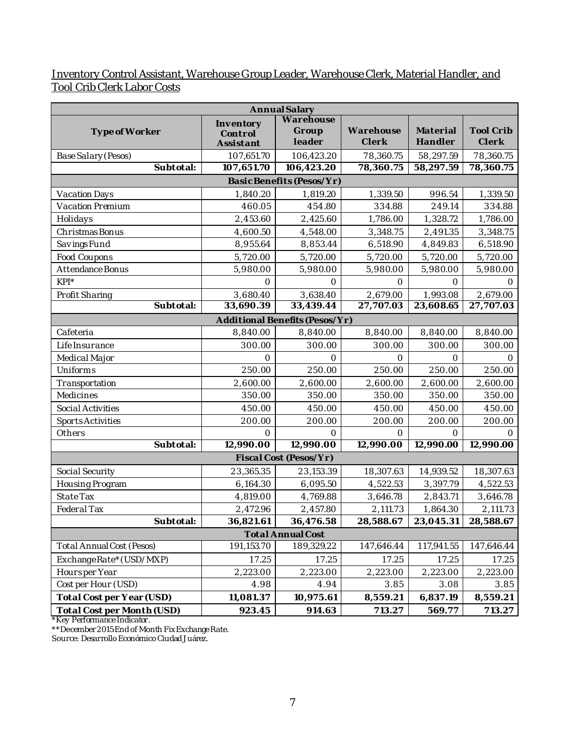#### Inventory Control Assistant, Warehouse Group Leader, Warehouse Clerk, Material Handler, and Tool Crib Clerk Labor Costs

|                                  |                                   | Annual Salary                  |                    |                     |                    |
|----------------------------------|-----------------------------------|--------------------------------|--------------------|---------------------|--------------------|
| Type of Worker                   | Inventory<br>Control<br>Assistant | Warehouse<br>Group<br>leader   | Warehouse<br>Clerk | Material<br>Handler | Tool Crib<br>Clerk |
| Base Salary (Pesos)              | 107,651.70                        | 106,423.20                     | 78,360.75          | 58,297.59           | 78,360.75          |
| Subtotal:                        | 107,651.70                        | 106,423.20                     | 78,360.75          | 58,297.59           | 78,360.75          |
|                                  |                                   | Basic Benefits (Pesos/Yr)      |                    |                     |                    |
| Vacation Days                    | 1,840.20                          | 1,819.20                       | 1,339.50           | 996.54              | 1,339.50           |
| Vacation Premium                 | 460.05                            | 454.80                         | 334.88             | 249.14              | 334.88             |
| Holidays                         | 2,453.60                          | 2,425.60                       | 1,786.00           | 1,328.72            | 1,786.00           |
| Christmas Bonus                  | 4,600.50                          | 4,548.00                       | 3,348.75           | 2,491.35            | 3,348.75           |
| Savings Fund                     | 8,955.64                          | 8,853.44                       | 6,518.90           | 4,849.83            | 6,518.90           |
| Food Coupons                     | 5,720.00                          | 5,720.00                       | 5,720.00           | 5,720.00            | 5,720.00           |
| Attendance Bonus                 | 5,980.00                          | 5,980.00                       | 5,980.00           | 5,980.00            | 5,980.00           |
| $KPI^*$                          | $\bigcirc$                        | 0                              | $\bigcirc$         | $\circ$             | $\Omega$           |
| Profit Sharing                   | 3,680.40                          | 3,638.40                       | 2,679.00           | 1,993.08            | 2,679.00           |
| Subtotal:                        | 33,690.39                         | 33,439.44                      | 27,707.03          | 23,608.65           | 27,707.03          |
|                                  |                                   | Additional Benefits (Pesos/Yr) |                    |                     |                    |
| Cafeteria                        | 8,840.00                          | 8,840.00                       | 8,840.00           | 8,840.00            | 8,840.00           |
| Life Insurance                   | 300.00                            | 300.00                         | 300.00             | 300.00              | 300.00             |
| Medical Major                    | $\circ$                           | 0                              | $\Omega$           | $\circ$             | 0                  |
| Uniforms                         | 250.00                            | 250.00                         | 250.00             | 250.00              | 250.00             |
| Transportation                   | 2,600.00                          | 2,600.00                       | 2,600.00           | 2,600.00            | 2,600.00           |
| Medicines                        | 350.00                            | 350.00                         | 350.00             | 350.00              | 350.00             |
| Social Activities                | 450.00                            | 450.00                         | 450.00             | 450.00              | 450.00             |
| <b>Sports Activities</b>         | 200.00                            | 200.00                         | 200.00             | 200.00              | 200.00             |
| Others                           | $\circ$                           | 0                              | $\Omega$           | $\circ$             | $\Omega$           |
| Subtotal:                        | 12,990.00                         | 12,990.00                      | 12,990.00          | 12,990.00           | 12,990.00          |
|                                  |                                   | Fiscal Cost (Pesos/Yr)         |                    |                     |                    |
| Social Security                  | 23,365.35                         | 23,153.39                      | 18,307.63          | 14,939.52           | 18,307.63          |
| Housing Program                  | 6,164.30                          | 6,095.50                       | 4,522.53           | 3,397.79            | 4,522.53           |
| State Tax                        | 4,819.00                          | 4,769.88                       | 3,646.78           | 2,843.71            | 3,646.78           |
| Federal Tax                      | 2,472.96                          | 2,457.80                       | 2,111.73           | 1,864.30            | 2,111.73           |
| Subtotal:                        | 36,821.61                         | 36,476.58                      | 28,588.67          | 23,045.31           | 28,588.67          |
|                                  |                                   | <b>Total Annual Cost</b>       |                    |                     |                    |
| <b>Total Annual Cost (Pesos)</b> | 191,153.70                        | 189,329.22                     | 147,646.44         | 117,941.55          | 147,646.44         |
| ExchangeRate*(USD/MXP)           | 17.25                             | 17.25                          | 17.25              | 17.25               | 17.25              |
| Hoursper Year                    | 2,223.00                          | 2,223.00                       | 2,223.00           | 2,223.00            | 2,223.00           |
| Cost per Hour (USD)              | 4.98                              | 4.94                           | 3.85               | 3.08                | 3.85               |
| Total Cost per Year (USD)        | 11,081.37                         | 10,975.61                      | 8,559.21           | 6,837.19            | 8,559.21           |
| Total Cost per Month (USD)       | 923.45                            | 914.63                         | 713.27             | 569.77              | 713.27             |

\*Key Performance Indicator.

\*\*December 2015 End of Month Fix Exchange Rate.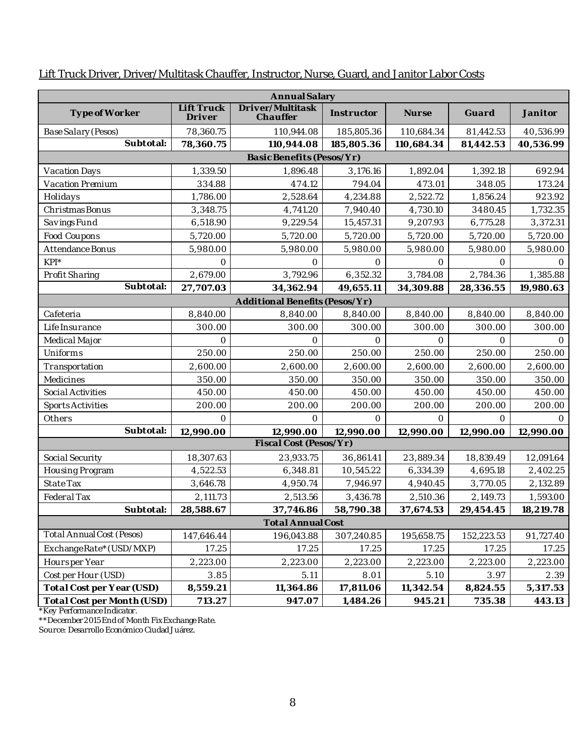| Annual Salary              |                      |                                |            |            |            |           |  |  |  |
|----------------------------|----------------------|--------------------------------|------------|------------|------------|-----------|--|--|--|
| Type of Worker             | Lift Truck<br>Driver | Driver/Multitask<br>Chauffer   | Instructor | Nurse      | Guard      | Janitor   |  |  |  |
| Base Salary (Pesos)        | 78,360.75            | 110,944.08                     | 185,805.36 | 110,684.34 | 81,442.53  | 40,536.99 |  |  |  |
| Subtotal:                  | 78,360.75            | 110,944.08                     | 185,805.36 | 110,684.34 | 81,442.53  | 40,536.99 |  |  |  |
| Basic Benefits (Pesos/Yr)  |                      |                                |            |            |            |           |  |  |  |
| Vacation Days              | 1,339.50             | 1,896.48                       | 3,176.16   | 1,892.04   | 1,392.18   | 692.94    |  |  |  |
| Vacation Premium           | 334.88               | 474.12                         | 794.04     | 473.01     | 348.05     | 173.24    |  |  |  |
| Holidays                   | 1,786.00             | 2,528.64                       | 4,234.88   | 2,522.72   | 1,856.24   | 923.92    |  |  |  |
| Christmas Bonus            | 3,348.75             | 4,741.20                       | 7,940.40   | 4,730.10   | 3480.45    | 1,732.35  |  |  |  |
| Savings Fund               | 6,518.90             | 9,229.54                       | 15,457.31  | 9,207.93   | 6,775.28   | 3,372.31  |  |  |  |
| Food Coupons               | 5,720.00             | 5,720.00                       | 5,720.00   | 5,720.00   | 5,720.00   | 5,720.00  |  |  |  |
| Attendance Bonus           | 5,980.00             | 5,980.00                       | 5,980.00   | 5,980.00   | 5,980.00   | 5,980.00  |  |  |  |
| $KPI^*$                    | $\bigcap$            | $\bigcirc$                     | $\bigcirc$ | $\bigcirc$ | $\circ$    | $\bigcap$ |  |  |  |
| Profit Sharing             | 2,679.00             | 3,792.96                       | 6,352.32   | 3,784.08   | 2,784.36   | 1,385.88  |  |  |  |
| Subtotal:                  | 27,707.03            | 34,362.94                      | 49,655.11  | 34,309.88  | 28,336.55  | 19,980.63 |  |  |  |
|                            |                      | Additional Benefits (Pesos/Yr) |            |            |            |           |  |  |  |
| Cafeteria                  | 8,840.00             | 8,840.00                       | 8,840.00   | 8,840.00   | 8,840.00   | 8,840.00  |  |  |  |
| Life Insurance             | 300.00               | 300.00                         | 300.00     | 300.00     | 300.00     | 300.00    |  |  |  |
| Medical Major              | $\Omega$             | $\circ$                        | $\bigcirc$ | $\circ$    | $\circ$    | $\circ$   |  |  |  |
| Uniforms                   | 250.00               | 250.00                         | 250.00     | 250.00     | 250.00     | 250.00    |  |  |  |
| Transportation             | 2,600.00             | 2,600.00                       | 2,600.00   | 2,600.00   | 2,600.00   | 2,600.00  |  |  |  |
| Medicines                  | 350.00               | 350.00                         | 350.00     | 350.00     | 350.00     | 350.00    |  |  |  |
| Social Activities          | 450.00               | 450.00                         | 450.00     | 450.00     | 450.00     | 450.00    |  |  |  |
| <b>Sports Activities</b>   | 200.00               | 200.00                         | 200.00     | 200.00     | 200.00     | 200.00    |  |  |  |
| Others                     | 0                    | $\bigcirc$                     | $\bigcirc$ | $\bigcirc$ | $\Omega$   | $\Omega$  |  |  |  |
| Subtotal:                  | 12,990.00            | 12,990.00                      | 12,990.00  | 12,990.00  | 12,990.00  | 12,990.00 |  |  |  |
|                            |                      | Fiscal Cost (Pesos/Yr)         |            |            |            |           |  |  |  |
| Social Security            | 18,307.63            | 23,933.75                      | 36,861.41  | 23,889.34  | 18,839.49  | 12,091.64 |  |  |  |
| Housing Program            | 4,522.53             | 6,348.81                       | 10,545.22  | 6,334.39   | 4,695.18   | 2,402.25  |  |  |  |
| State Tax                  | 3,646.78             | 4,950.74                       | 7,946.97   | 4,940.45   | 3,770.05   | 2,132.89  |  |  |  |
| Federal Tax                | 2,111.73             | 2,513.56                       | 3,436.78   | 2,510.36   | 2,149.73   | 1,593.00  |  |  |  |
| Subtotal:                  | 28,588.67            | 37,746.86                      | 58,790.38  | 37,674.53  | 29,454.45  | 18,219.78 |  |  |  |
|                            |                      | <b>Total Annual Cost</b>       |            |            |            |           |  |  |  |
| Total Annual Cost (Pesos)  | 147,646.44           | 196,043.88                     | 307,240.85 | 195,658.75 | 152,223.53 | 91,727.40 |  |  |  |
| ExchangeRate*(USD/MXP)     | 17.25                | 17.25                          | 17.25      | 17.25      | 17.25      | 17.25     |  |  |  |
| Hoursper Year              | 2,223.00             | 2,223.00                       | 2,223.00   | 2,223.00   | 2,223.00   | 2,223.00  |  |  |  |
| Cost per Hour (USD)        | 3.85                 | 5.11                           | 8.01       | 5.10       | 3.97       | 2.39      |  |  |  |
| Total Cost per Year (USD)  | 8,559.21             | 11,364.86                      | 17,811.06  | 11,342.54  | 8,824.55   | 5,317.53  |  |  |  |
| Total Cost per Month (USD) | 713.27               | 947.07                         | 1,484.26   | 945.21     | 735.38     | 443.13    |  |  |  |

### Lift Truck Driver, Driver/Multitask Chauffer, Instructor, Nurse, Guard, and Janitor Labor Costs

\*Key Performance Indicator.

\*\*December 2015 End of Month Fix Exchange Rate.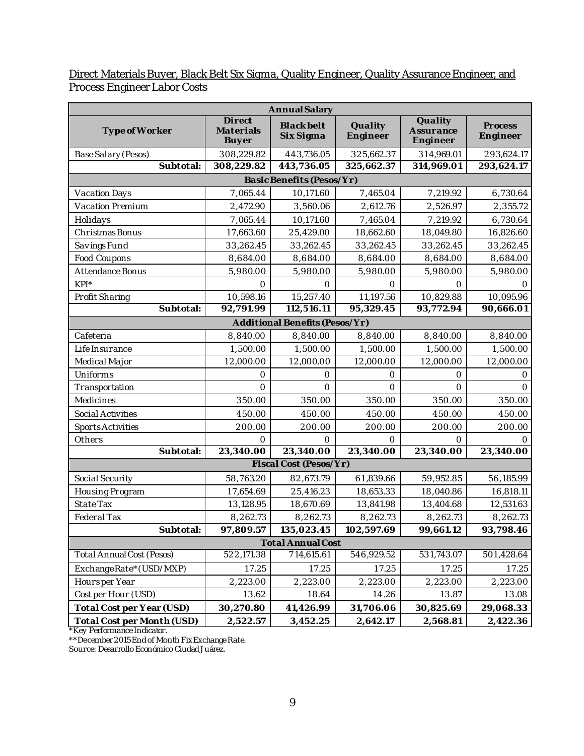Direct Materials Buyer, Black Belt Six Sigma, Quality Engineer, Quality Assurance Engineer, and Process Engineer Labor Costs

|                                  | Annual Salary                       |                                |                     |                                  |                     |
|----------------------------------|-------------------------------------|--------------------------------|---------------------|----------------------------------|---------------------|
| Type of Worker                   | Direct<br>Materials<br><b>Buyer</b> | <b>Black belt</b><br>Six Sigma | Quality<br>Engineer | Quality<br>Assurance<br>Engineer | Process<br>Engineer |
| Base Salary (Pesos)              | 308,229.82                          | 443,736.05                     | 325,662.37          | 314,969.01                       | 293,624.17          |
| Subtotal:                        | 308,229.82                          | 443,736.05                     | 325,662.37          | 314,969.01                       | 293,624.17          |
|                                  |                                     | Basic Benefits (Pesos/Yr)      |                     |                                  |                     |
| Vacation Days                    | 7,065.44                            | 10,171.60                      | 7,465.04            | 7,219.92                         | 6,730.64            |
| Vacation Premium                 | 2,472.90                            | 3,560.06                       | 2,612.76            | 2,526.97                         | 2,355.72            |
| Holidays                         | 7,065.44                            | 10,171.60                      | 7,465.04            | 7,219.92                         | 6,730.64            |
| Christmas Bonus                  | 17,663.60                           | 25,429.00                      | 18,662.60           | 18,049.80                        | 16,826.60           |
| Savings Fund                     | 33,262.45                           | 33,262.45                      | 33,262.45           | 33,262.45                        | 33,262.45           |
| Food Coupons                     | 8,684.00                            | 8,684.00                       | 8,684.00            | 8,684.00                         | 8,684.00            |
| Attendance Bonus                 | 5,980.00                            | 5,980.00                       | 5,980.00            | 5,980.00                         | 5,980.00            |
| $KPI^*$                          | $\circ$                             | $\Omega$                       | $\Omega$            | $\Omega$                         | 0                   |
| Profit Sharing                   | 10,598.16                           | 15,257.40                      | 11,197.56           | 10,829.88                        | 10,095.96           |
| Subtotal:                        | 92,791.99                           | 112,516.11                     | 95,329.45           | 93,772.94                        | 90,666.01           |
|                                  |                                     | Additional Benefits (Pesos/Yr) |                     |                                  |                     |
| Cafeteria                        | 8,840.00                            | 8,840.00                       | 8,840.00            | 8,840.00                         | 8,840.00            |
| Life Insurance                   | 1,500.00                            | 1,500.00                       | 1,500.00            | 1,500.00                         | 1,500.00            |
| Medical Major                    | 12,000.00                           | 12,000.00                      | 12,000.00           | 12,000.00                        | 12,000.00           |
| Uniforms                         | $\circ$                             | $\circ$                        | 0                   | $\bigcirc$                       | 0                   |
| Transportation                   | $\bigcirc$                          | $\bigcirc$                     | $\Omega$            | $\bigcirc$                       | $\bigcirc$          |
| Medicines                        | 350.00                              | 350.00                         | 350.00              | 350.00                           | 350.00              |
| Social Activities                | 450.00                              | 450.00                         | 450.00              | 450.00                           | 450.00              |
| <b>Sports Activities</b>         | 200.00                              | 200.00                         | 200.00              | 200.00                           | 200.00              |
| Others                           | $\Omega$                            | $\Omega$                       | 0                   | $\Omega$                         | 0                   |
| Subtotal:                        | 23,340.00                           | 23,340.00                      | 23,340.00           | 23,340.00                        | 23,340.00           |
|                                  |                                     | Fiscal Cost (Pesos/Yr)         |                     |                                  |                     |
| Social Security                  | 58,763.20                           | 82,673.79                      | 61,839.66           | 59,952.85                        | 56,185.99           |
| Housing Program                  | 17,654.69                           | 25,416.23                      | 18,653.33           | 18,040.86                        | 16,818.11           |
| State Tax                        | 13,128.95                           | 18,670.69                      | 13,841.98           | 13,404.68                        | 12,531.63           |
| Federal Tax                      | 8,262.73                            | 8,262.73                       | 8,262.73            | 8,262.73                         | 8,262.73            |
| Subtotal:                        | 97,809.57                           | 135,023.45                     | 102,597.69          | 99,661.12                        | 93,798.46           |
| <b>Total Annual Cost</b>         |                                     |                                |                     |                                  |                     |
| <b>Total Annual Cost (Pesos)</b> | 522,171.38                          | 714,615.61                     | 546,929.52          | 531,743.07                       | 501,428.64          |
| ExchangeRate*(USD/MXP)           | 17.25                               | 17.25                          | 17.25               | 17.25                            | 17.25               |
| Hoursper Year                    | 2,223.00                            | 2,223.00                       | 2,223.00            | 2,223.00                         | 2,223.00            |
| Cost per Hour (USD)              | 13.62                               | 18.64                          | 14.26               | 13.87                            | 13.08               |
| Total Cost per Year (USD)        | 30,270.80                           | 41,426.99                      | 31,706.06           | 30,825.69                        | 29,068.33           |
| Total Cost per Month (USD)       | 2,522.57                            | 3,452.25                       | 2,642.17            | 2,568.81                         | 2,422.36            |

\*Key Performance Indicator.

\*\*December 2015 End of Month Fix Exchange Rate.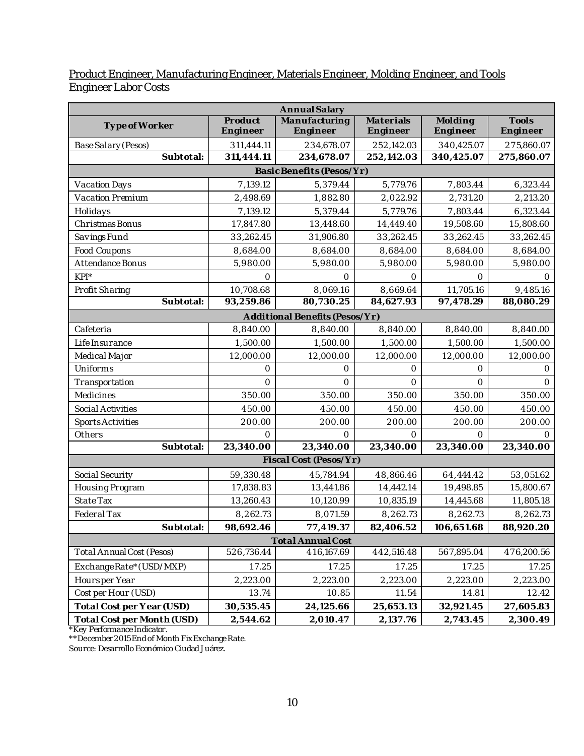#### Product Engineer, Manufacturing Engineer, Materials Engineer, Molding Engineer, and Tools Engineer Labor Costs

| Annual Salary                    |                          |                                |                          |                          |                          |
|----------------------------------|--------------------------|--------------------------------|--------------------------|--------------------------|--------------------------|
| Type of Worker                   | Product<br>Engineer      | Manufacturing<br>Engineer      | Materials<br>Engineer    | Molding<br>Engineer      | Tools<br>Engineer        |
|                                  |                          |                                |                          |                          |                          |
| Base Salary (Pesos)<br>Subtotal: | 311,444.11<br>311,444.11 | 234,678.07<br>234,678.07       | 252,142.03<br>252,142.03 | 340,425.07<br>340,425.07 | 275,860.07<br>275,860.07 |
|                                  |                          | Basic Benefits (Pesos/Yr)      |                          |                          |                          |
|                                  |                          |                                |                          |                          |                          |
| Vacation Days                    | 7,139.12                 | 5,379.44                       | 5,779.76                 | 7,803.44                 | 6,323.44                 |
| Vacation Premium                 | 2,498.69                 | 1,882.80                       | 2,022.92                 | 2,731.20                 | 2,213.20                 |
| Holidays                         | 7,139.12                 | 5,379.44                       | 5,779.76                 | 7,803.44                 | 6,323.44                 |
| Christmas Bonus                  | 17,847.80                | 13,448.60                      | 14,449.40                | 19,508.60                | 15,808.60                |
| Savings Fund                     | 33,262.45                | 31,906.80                      | 33,262.45                | 33,262.45                | 33,262.45                |
| Food Coupons                     | 8,684.00                 | 8,684.00                       | 8,684.00                 | 8,684.00                 | 8,684.00                 |
| Attendance Bonus                 | 5,980.00                 | 5,980.00                       | 5,980.00                 | 5,980.00                 | 5,980.00                 |
| $KPI^*$                          | 0                        | $\bigcirc$                     | $\bigcirc$               | $\bigcirc$               | $\bigcap$                |
| Profit Sharing                   | 10,708.68                | 8,069.16                       | 8,669.64                 | 11,705.16                | 9,485.16                 |
| Subtotal:                        | 93,259.86                | 80,730.25                      | 84,627.93                | 97,478.29                | 88,080.29                |
|                                  |                          | Additional Benefits (Pesos/Yr) |                          |                          |                          |
| Cafeteria                        | 8,840.00                 | 8,840.00                       | 8,840.00                 | 8,840.00                 | 8,840.00                 |
| Life Insurance                   | 1,500.00                 | 1,500.00                       | 1,500.00                 | 1,500.00                 | 1,500.00                 |
| Medical Major                    | 12,000.00                | 12,000.00                      | 12,000.00                | 12,000.00                | 12,000.00                |
| Uniforms                         | 0                        | $\bigcap$                      | Ω                        | $\bigcap$                | $\bigcap$                |
| Transportation                   | $\bigcirc$               | 0                              | $\bigcirc$               | $\Omega$                 | $\bigcirc$               |
| Medicines                        | 350.00                   | 350.00                         | 350.00                   | 350.00                   | 350.00                   |
| Social Activities                | 450.00                   | 450.00                         | 450.00                   | 450.00                   | 450.00                   |
| <b>Sports Activities</b>         | 200.00                   | 200.00                         | 200.00                   | 200.00                   | 200.00                   |
| Others                           | $\bigcap$                | $\Omega$                       | $\bigcap$                | 0                        | ∩                        |
| Subtotal:                        | 23,340.00                | 23,340.00                      | 23,340.00                | 23,340.00                | 23,340.00                |
|                                  |                          | Fiscal Cost (Pesos/Yr)         |                          |                          |                          |
| Social Security                  | 59,330.48                | 45,784.94                      | 48,866.46                | 64,444.42                | 53,051.62                |
| Housing Program                  | 17,838.83                | 13,441.86                      | 14,442.14                | 19,498.85                | 15,800.67                |
| State Tax                        | 13,260.43                | 10,120.99                      | 10,835.19                | 14,445.68                | 11,805.18                |
| Federal Tax                      | 8,262.73                 | 8,071.59                       | 8,262.73                 | 8,262.73                 | 8,262.73                 |
| Subtotal:                        | 98,692.46                | 77,419.37                      | 82,406.52                | 106,651.68               | 88,920.20                |
| <b>Total Annual Cost</b>         |                          |                                |                          |                          |                          |
| <b>Total Annual Cost (Pesos)</b> | 526,736.44               | 416,167.69                     | 442,516.48               | 567,895.04               | 476,200.56               |
| ExchangeRate* (USD/MXP)          | 17.25                    | 17.25                          | 17.25                    | 17.25                    | 17.25                    |
| Hoursper Year                    | 2,223.00                 | 2,223.00                       | 2,223.00                 | 2,223.00                 | 2,223.00                 |
| Cost per Hour (USD)              | 13.74                    | 10.85                          | 11.54                    | 14.81                    | 12.42                    |
| Total Cost per Year (USD)        | 30,535.45                | 24,125.66                      | 25,653.13                | 32,921.45                | 27,605.83                |
| Total Cost per Month (USD)       | 2,544.62                 | 2,010.47                       | 2,137.76                 | 2,743.45                 | 2,300.49                 |

\*Key Performance Indicator.

\*\*December 2015 End of Month Fix Exchange Rate.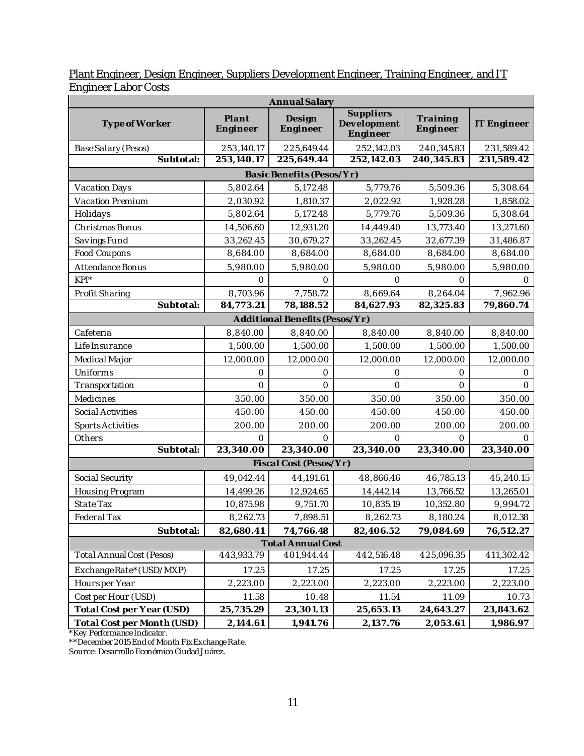| <u>Linginical Labor Costs</u>    |                   |                                |                                      |                      |             |
|----------------------------------|-------------------|--------------------------------|--------------------------------------|----------------------|-------------|
| Annual Salary                    |                   |                                |                                      |                      |             |
| Type of Worker                   | Plant<br>Engineer | Design<br>Engineer             | Suppliers<br>Development<br>Engineer | Training<br>Engineer | IT Engineer |
| Base Salary (Pesos)              | 253,140.17        | 225,649.44                     | 252,142.03                           | 240,345.83           | 231,589.42  |
| Subtotal:                        | 253,140.17        | 225,649.44                     | 252,142.03                           | 240,345.83           | 231,589.42  |
|                                  |                   | Basic Benefits (Pesos/Yr)      |                                      |                      |             |
| Vacation Days                    | 5,802.64          | 5,172.48                       | 5,779.76                             | 5,509.36             | 5,308.64    |
| Vacation Premium                 | 2,030.92          | 1,810.37                       | 2,022.92                             | 1,928.28             | 1,858.02    |
| Holidays                         | 5,802.64          | 5,172.48                       | 5,779.76                             | 5,509.36             | 5,308.64    |
| Christmas Bonus                  | 14,506.60         | 12,931.20                      | 14,449.40                            | 13,773.40            | 13,271.60   |
| Savings Fund                     | 33,262.45         | 30,679.27                      | 33,262.45                            | 32,677.39            | 31,486.87   |
| Food Coupons                     | 8,684.00          | 8,684.00                       | 8,684.00                             | 8,684.00             | 8,684.00    |
| Attendance Bonus                 | 5,980.00          | 5,980.00                       | 5,980.00                             | 5,980.00             | 5,980.00    |
| $KP*$                            | $\Omega$          | $\Omega$                       | $\bigcap$                            | $\Omega$             | $\Omega$    |
| Profit Sharing                   | 8,703.96          | 7,758.72                       | 8,669.64                             | 8,264.04             | 7,962.96    |
| Subtotal:                        | 84,773.21         | 78,188.52                      | 84,627.93                            | 82,325.83            | 79,860.74   |
|                                  |                   | Additional Benefits (Pesos/Yr) |                                      |                      |             |
| Cafeteria                        | 8,840.00          | 8,840.00                       | 8,840.00                             | 8,840.00             | 8,840.00    |
| Life Insurance                   | 1,500.00          | 1,500.00                       | 1,500.00                             | 1,500.00             | 1,500.00    |
| Medical Major                    | 12,000.00         | 12,000.00                      | 12,000.00                            | 12,000.00            | 12,000.00   |
| Uniforms                         | $\Omega$          | $\Omega$                       | $\bigcirc$                           | $\Omega$             | $\Omega$    |
| Transportation                   | $\bigcap$         | $\bigcap$                      | $\bigcap$                            | $\bigcirc$           | $\bigcirc$  |
| Medicines                        | 350.00            | 350.00                         | 350.00                               | 350.00               | 350.00      |
| Social Activities                | 450.00            | 450.00                         | 450.00                               | 450.00               | 450.00      |
| <b>Sports Activities</b>         | 200.00            | 200.00                         | 200.00                               | 200.00               | 200.00      |
| Others                           | 0                 | 0                              | 0                                    | $\circ$              | $\circ$     |
| Subtotal:                        | 23,340.00         | 23,340.00                      | 23,340.00                            | 23,340.00            | 23,340.00   |
|                                  |                   | Fiscal Cost (Pesos/Yr)         |                                      |                      |             |
| Social Security                  | 49,042.44         | 44,191.61                      | 48,866.46                            | 46,785.13            | 45,240.15   |
| Housing Program                  | 14,499.26         | 12,924.65                      | 14,442.14                            | 13,766.52            | 13,265.01   |
| State Tax                        | 10,875.98         | 9,751.70                       | 10,835.19                            | 10,352.80            | 9,994.72    |
| Federal Tax                      | 8,262.73          | 7,898.51                       | 8,262.73                             | 8,180.24             | 8,012.38    |
| Subtotal:                        | 82,680.41         | 74,766.48                      | 82,406.52                            | 79,084.69            | 76,512.27   |
|                                  |                   | <b>Total Annual Cost</b>       |                                      |                      |             |
| <b>Total Annual Cost (Pesos)</b> | 443,933.79        | 401,944.44                     | 442,516.48                           | 425,096.35           | 411,302.42  |
| ExchangeRate*(USD/MXP)           | 17.25             | 17.25                          | 17.25                                | 17.25                | 17.25       |
| Hoursper Year                    | 2,223.00          | 2,223.00                       | 2,223.00                             | 2,223.00             | 2,223.00    |
| Cost per Hour (USD)              | 11.58             | 10.48                          | 11.54                                | 11.09                | 10.73       |
| Total Cost per Year (USD)        | 25,735.29         | 23,301.13                      | 25,653.13                            | 24,643.27            | 23,843.62   |
| Total Cost per Month (USD)       | 2,144.61          | 1,941.76                       | 2,137.76                             | 2,053.61             | 1,986.97    |

#### Plant Engineer, Design Engineer, Suppliers Development Engineer, Training Engineer, and IT Engineer Labor Costs

\*Key Performance Indicator.

\*\*December 2015 End of Month Fix Exchange Rate.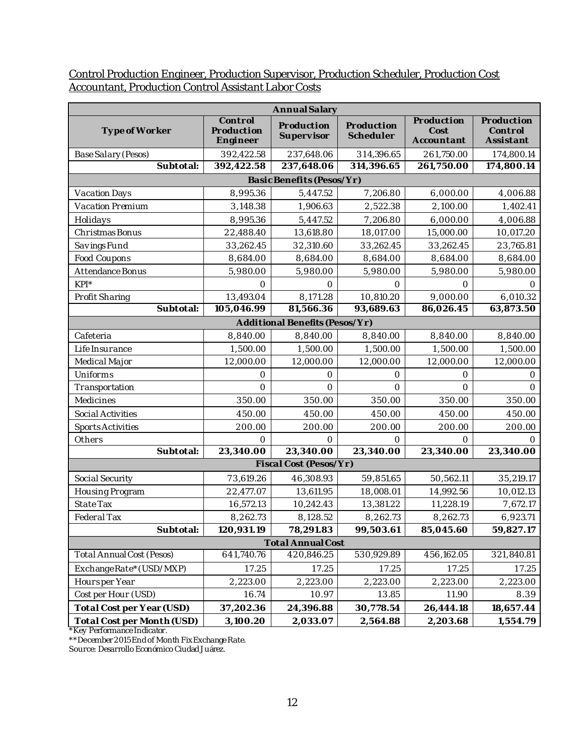#### Control Production Engineer, Production Supervisor, Production Scheduler, Production Cost Accountant, Production Control Assistant Labor Costs

| Annual Salary                    |                                   |                                |                         |                                  |                                    |
|----------------------------------|-----------------------------------|--------------------------------|-------------------------|----------------------------------|------------------------------------|
| Type of Worker                   | Control<br>Production<br>Engineer | Production<br>Supervisor       | Production<br>Scheduler | Production<br>Cost<br>Accountant | Production<br>Control<br>Assistant |
| Base Salary (Pesos)              | 392,422.58                        | 237,648.06                     | 314,396.65              | 261,750.00                       | 174,800.14                         |
| Subtotal:                        | 392,422.58                        | 237,648.06                     | 314,396.65              | 261,750.00                       | 174,800.14                         |
|                                  |                                   | Basic Benefits (Pesos/Yr)      |                         |                                  |                                    |
| Vacation Days                    | 8,995.36                          | 5,447.52                       | 7,206.80                | 6,000.00                         | 4,006.88                           |
| Vacation Premium                 | 3,148.38                          | 1,906.63                       | 2,522.38                | 2,100.00                         | 1,402.41                           |
| Holidays                         | 8,995.36                          | 5,447.52                       | 7,206.80                | 6,000.00                         | 4,006.88                           |
| Christmas Bonus                  | 22,488.40                         | 13,618.80                      | 18,017.00               | 15,000.00                        | 10,017.20                          |
| Savings Fund                     | 33,262.45                         | 32,310.60                      | 33,262.45               | 33,262.45                        | 23,765.81                          |
| Food Coupons                     | 8,684.00                          | 8,684.00                       | 8,684.00                | 8,684.00                         | 8,684.00                           |
| Attendance Bonus                 | 5,980.00                          | 5,980.00                       | 5,980.00                | 5,980.00                         | 5,980.00                           |
| $KPI^*$                          | $\bigcap$                         | $\bigcirc$                     | $\bigcap$               | $\Omega$                         | $\bigcap$                          |
| Profit Sharing                   | 13,493.04                         | 8,171.28                       | 10,810.20               | 9,000.00                         | 6,010.32                           |
| Subtotal:                        | 105,046.99                        | 81,566.36                      | 93,689.63               | 86,026.45                        | 63,873.50                          |
|                                  |                                   | Additional Benefits (Pesos/Yr) |                         |                                  |                                    |
| Cafeteria                        | 8,840.00                          | 8,840.00                       | 8,840.00                | 8,840.00                         | 8,840.00                           |
| Life Insurance                   | 1,500.00                          | 1,500.00                       | 1,500.00                | 1,500.00                         | 1,500.00                           |
| Medical Major                    | 12,000.00                         | 12,000.00                      | 12,000.00               | 12,000.00                        | 12,000.00                          |
| Uniforms                         | $\circ$                           | $\circ$                        | 0                       | $\circ$                          | $\bigcirc$                         |
| Transportation                   | $\bigcap$                         | $\bigcirc$                     | $\cap$                  | $\bigcirc$                       | $\bigcap$                          |
| Medicines                        | 350.00                            | 350.00                         | 350.00                  | 350.00                           | 350.00                             |
| Social Activities                | 450.00                            | 450.00                         | 450.00                  | 450.00                           | 450.00                             |
| <b>Sports Activities</b>         | 200.00                            | 200.00                         | 200.00                  | 200.00                           | 200.00                             |
| Others                           | $\bigcap$                         | $\Omega$                       | ∩                       | $\Omega$                         | $\bigcap$                          |
| Subtotal:                        | 23,340.00                         | 23,340.00                      | 23,340.00               | 23,340.00                        | 23,340.00                          |
|                                  |                                   | Fiscal Cost (Pesos/Yr)         |                         |                                  |                                    |
| Social Security                  | 73,619.26                         | 46,308.93                      | 59,851.65               | 50,562.11                        | 35,219.17                          |
| Housing Program                  | 22,477.07                         | 13,611.95                      | 18,008.01               | 14,992.56                        | 10,012.13                          |
| State Tax                        | 16,572.13                         | 10,242.43                      | 13,381.22               | 11,228.19                        | 7,672.17                           |
| Federal Tax                      | 8,262.73                          | 8,128.52                       | 8,262.73                | 8,262.73                         | 6,923.71                           |
| Subtotal:                        | 120,931.19                        | 78,291.83                      | 99,503.61               | 85,045.60                        | 59,827.17                          |
| <b>Total Annual Cost</b>         |                                   |                                |                         |                                  |                                    |
| <b>Total Annual Cost (Pesos)</b> | 641,740.76                        | 420,846.25                     | 530,929.89              | 456,162.05                       | 321,840.81                         |
| ExchangeRate*(USD/MXP)           | 17.25                             | 17.25                          | 17.25                   | 17.25                            | 17.25                              |
| Hoursper Year                    | 2,223.00                          | 2,223.00                       | 2,223.00                | 2,223.00                         | 2,223.00                           |
| Cost per Hour (USD)              | 16.74                             | 10.97                          | 13.85                   | 11.90                            | 8.39                               |
| Total Cost per Year (USD)        | 37,202.36                         | 24,396.88                      | 30,778.54               | 26,444.18                        | 18,657.44                          |
| Total Cost per Month (USD)       | 3,100.20                          | 2,033.07                       | 2,564.88                | 2,203.68                         | 1,554.79                           |

\*Key Performance Indicator.

\*\*December 2015 End of Month Fix Exchange Rate.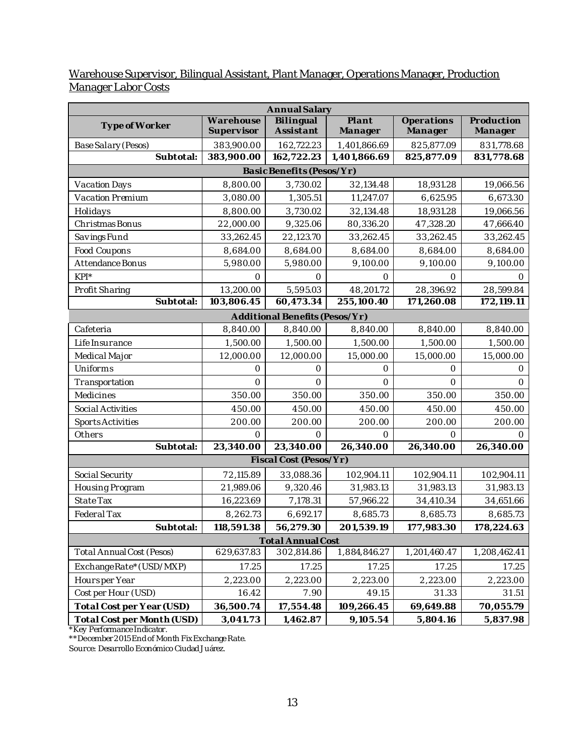#### Warehouse Supervisor, Bilingual Assistant, Plant Manager, Operations Manager, Production Manager Labor Costs

| Annual Salary              |                         |                                |                  |                       |                       |
|----------------------------|-------------------------|--------------------------------|------------------|-----------------------|-----------------------|
| Type of Worker             | Warehouse<br>Supervisor | Bilingual<br>Assistant         | Plant<br>Manager | Operations<br>Manager | Production<br>Manager |
| Base Salary (Pesos)        | 383,900.00              | 162,722.23                     | 1,401,866.69     | 825,877.09            | 831,778.68            |
| Subtotal:                  | 383,900.00              | 162,722.23                     | 1,401,866.69     | 825,877.09            | 831,778.68            |
|                            |                         | Basic Benefits (Pesos/Yr)      |                  |                       |                       |
| Vacation Days              | 8,800.00                | 3,730.02                       | 32,134.48        | 18,931.28             | 19,066.56             |
| Vacation Premium           | 3,080.00                | 1,305.51                       | 11,247.07        | 6,625.95              | 6,673.30              |
| Holidays                   | 8,800.00                | 3,730.02                       | 32,134.48        | 18,931.28             | 19,066.56             |
| Christmas Bonus            | 22,000.00               | 9,325.06                       | 80,336.20        | 47,328.20             | 47,666.40             |
| Savings Fund               | 33,262.45               | 22,123.70                      | 33,262.45        | 33,262.45             | 33,262.45             |
| Food Coupons               | 8,684.00                | 8,684.00                       | 8,684.00         | 8,684.00              | 8,684.00              |
| Attendance Bonus           | 5,980.00                | 5,980.00                       | 9,100.00         | 9,100.00              | 9,100.00              |
| $KPI^*$                    | 0                       | 0                              | $\circ$          | $\circ$               | $\bigcap$             |
| Profit Sharing             | 13,200.00               | 5,595.03                       | 48,201.72        | 28,396.92             | 28,599.84             |
| Subtotal:                  | 103,806.45              | 60,473.34                      | 255,100.40       | 171,260.08            | 172,119.11            |
|                            |                         | Additional Benefits (Pesos/Yr) |                  |                       |                       |
| Cafeteria                  | 8,840.00                | 8,840.00                       | 8,840.00         | 8,840.00              | 8,840.00              |
| Life Insurance             | 1,500.00                | 1,500.00                       | 1,500.00         | 1,500.00              | 1,500.00              |
| Medical Major              | 12,000.00               | 12,000.00                      | 15,000.00        | 15,000.00             | 15,000.00             |
| Uniforms                   | $\Omega$                | $\bigcap$                      | $\bigcap$        | $\Omega$              | $\bigcap$             |
| Transportation             | $\circ$                 | $\Omega$                       | $\Omega$         | $\circ$               | $\Omega$              |
| Medicines                  | 350.00                  | 350.00                         | 350.00           | 350.00                | 350.00                |
| Social Activities          | 450.00                  | 450.00                         | 450.00           | 450.00                | 450.00                |
| <b>Sports Activities</b>   | 200.00                  | 200.00                         | 200.00           | 200.00                | 200.00                |
| Others                     | $\bigcirc$              | $\bigcap$                      | $\bigcap$        | $\Omega$              | $\bigcap$             |
| Subtotal:                  | 23,340.00               | 23,340.00                      | 26,340.00        | 26,340.00             | 26,340.00             |
|                            |                         | Fiscal Cost (Pesos/Yr)         |                  |                       |                       |
| Social Security            | 72,115.89               | 33,088.36                      | 102,904.11       | 102,904.11            | 102,904.11            |
| Housing Program            | 21,989.06               | 9,320.46                       | 31,983.13        | 31,983.13             | 31,983.13             |
| State Tax                  | 16,223.69               | 7,178.31                       | 57,966.22        | 34,410.34             | 34,651.66             |
| Federal Tax                | 8,262.73                | 6,692.17                       | 8,685.73         | 8,685.73              | 8,685.73              |
| Subtotal:                  | 118,591.38              | 56,279.30                      | 201,539.19       | 177,983.30            | 178,224.63            |
| <b>Total Annual Cost</b>   |                         |                                |                  |                       |                       |
| Total Annual Cost (Pesos)  | 629,637.83              | 302,814.86                     | 1,884,846.27     | 1,201,460.47          | 1,208,462.41          |
| ExchangeRate*(USD/MXP)     | 17.25                   | 17.25                          | 17.25            | 17.25                 | 17.25                 |
| Hoursper Year              | 2,223.00                | 2,223.00                       | 2,223.00         | 2,223.00              | 2,223.00              |
| Cost per Hour (USD)        | 16.42                   | 7.90                           | 49.15            | 31.33                 | 31.51                 |
| Total Cost per Year (USD)  | 36,500.74               | 17,554.48                      | 109,266.45       | 69,649.88             | 70,055.79             |
| Total Cost per Month (USD) | 3,041.73                | 1,462.87                       | 9,105.54         | 5,804.16              | 5,837.98              |

\*Key Performance Indicator.

\*\*December 2015 End of Month Fix Exchange Rate.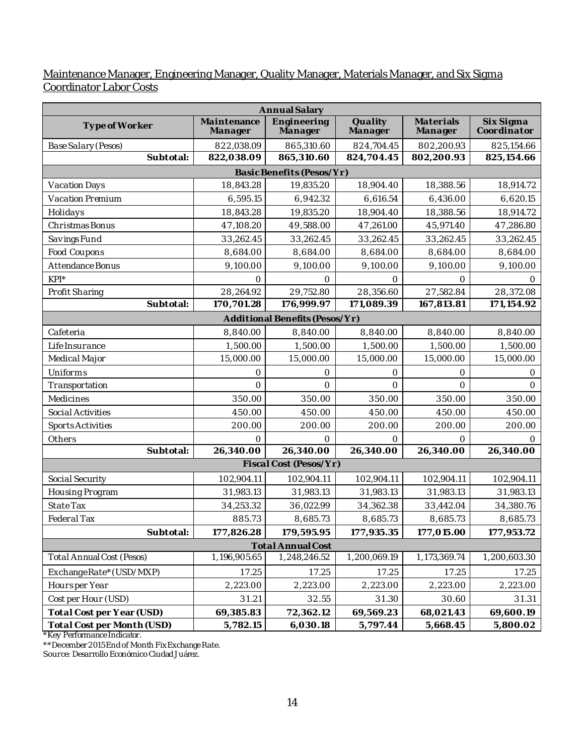#### Maintenance Manager, Engineering Manager, Quality Manager, Materials Manager, and Six Sigma Coordinator Labor Costs

|                            | Annual Salary          |                                |                    |                      |                          |
|----------------------------|------------------------|--------------------------------|--------------------|----------------------|--------------------------|
| Type of Worker             | Maintenance<br>Manager | Engineering<br>Manager         | Quality<br>Manager | Materials<br>Manager | Six Sigma<br>Coordinator |
| Base Salary (Pesos)        | 822,038.09             | 865,310.60                     | 824,704.45         | 802,200.93           | 825,154.66               |
| Subtotal:                  | 822,038.09             | 865,310.60                     | 824,704.45         | 802,200.93           | 825,154.66               |
|                            |                        | Basic Benefits (Pesos/Yr)      |                    |                      |                          |
| Vacation Days              | 18,843.28              | 19,835.20                      | 18,904.40          | 18,388.56            | 18,914.72                |
| Vacation Premium           | 6,595.15               | 6,942.32                       | 6,616.54           | 6,436.00             | 6,620.15                 |
| Holidays                   | 18,843.28              | 19,835.20                      | 18,904.40          | 18,388.56            | 18,914.72                |
| Christmas Bonus            | 47,108.20              | 49,588.00                      | 47,261.00          | 45,971.40            | 47,286.80                |
| Savings Fund               | 33,262.45              | 33,262.45                      | 33,262.45          | 33,262.45            | 33,262.45                |
| Food Coupons               | 8,684.00               | 8,684.00                       | 8,684.00           | 8,684.00             | 8,684.00                 |
| Attendance Bonus           | 9,100.00               | 9,100.00                       | 9,100.00           | 9,100.00             | 9,100.00                 |
| $KPI^*$                    | $\Omega$               | $\Omega$                       | $\bigcirc$         | $\Omega$             | $\Omega$                 |
| Profit Sharing             | 28,264.92              | 29,752.80                      | 28,356.60          | 27,582.84            | 28,372.08                |
| Subtotal:                  | 170,701.28             | 176,999.97                     | 171,089.39         | 167,813.81           | 171,154.92               |
|                            |                        | Additional Benefits (Pesos/Yr) |                    |                      |                          |
| Cafeteria                  | 8,840.00               | 8,840.00                       | 8,840.00           | 8,840.00             | 8,840.00                 |
| Life Insurance             | 1,500.00               | 1,500.00                       | 1,500.00           | 1,500.00             | 1,500.00                 |
| Medical Major              | 15,000.00              | 15,000.00                      | 15,000.00          | 15,000.00            | 15,000.00                |
| Uniforms                   | $\circ$                | $\circ$                        | $\circ$            | $\bigcirc$           | $\circ$                  |
| Transportation             | $\bigcirc$             | $\circ$                        | $\overline{O}$     | $\bigcirc$           | $\overline{O}$           |
| Medicines                  | 350.00                 | 350.00                         | 350.00             | 350.00               | 350.00                   |
| Social Activities          | 450.00                 | 450.00                         | 450.00             | 450.00               | 450.00                   |
| <b>Sports Activities</b>   | 200.00                 | 200.00                         | 200.00             | 200.00               | 200.00                   |
| Others                     | $\circ$                | $\bigcirc$                     | $\bigcirc$         | $\Omega$             | $\Omega$                 |
| Subtotal:                  | 26,340.00              | 26,340.00                      | 26,340.00          | 26,340.00            | 26,340.00                |
|                            |                        | Fiscal Cost (Pesos/Yr)         |                    |                      |                          |
| Social Security            | 102,904.11             | 102,904.11                     | 102,904.11         | 102,904.11           | 102,904.11               |
| Housing Program            | 31,983.13              | 31,983.13                      | 31,983.13          | 31,983.13            | 31,983.13                |
| State Tax                  | 34,253.32              | 36,022.99                      | 34,362.38          | 33,442.04            | 34,380.76                |
| Federal Tax                | 885.73                 | 8,685.73                       | 8,685.73           | 8,685.73             | 8,685.73                 |
| Subtotal:                  | 177,826.28             | 179,595.95                     | 177,935.35         | 177,015.00           | 177,953.72               |
| <b>Total Annual Cost</b>   |                        |                                |                    |                      |                          |
| Total Annual Cost (Pesos)  | 1,196,905.65           | 1,248,246.52                   | 1,200,069.19       | 1,173,369.74         | 1,200,603.30             |
| ExchangeRate*(USD/MXP)     | 17.25                  | 17.25                          | 17.25              | 17.25                | 17.25                    |
| Hoursper Year              | 2,223.00               | 2,223.00                       | 2,223.00           | 2,223.00             | 2,223.00                 |
| Cost per Hour (USD)        | 31.21                  | 32.55                          | 31.30              | 30.60                | 31.31                    |
| Total Cost per Year (USD)  | 69,385.83              | 72,362.12                      | 69,569.23          | 68,021.43            | 69,600.19                |
| Total Cost per Month (USD) | 5,782.15               | 6,030.18                       | 5,797.44           | 5,668.45             | 5,800.02                 |

\*Key Performance Indicator.

\*\*December 2015 End of Month Fix Exchange Rate.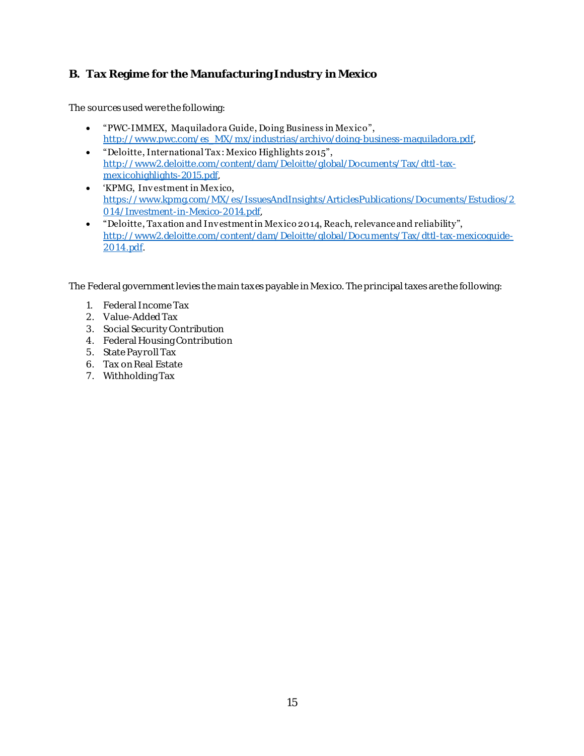### <span id="page-16-0"></span>**B. Tax Regime for the Manufacturing Industry in Mexico**

The sources used were the following:

- "PWC-IMMEX, Maquiladora Guide, Doing Business in Mexico", [http://www.pwc.com/es\\_MX/mx/industrias/archivo/doing-business-maquiladora.pdf](http://www.pwc.com/es_MX/mx/industrias/archivo/doing-business-maquiladora.pdf),
- "Deloitte, International Tax: Mexico Highlights 2015", [http://www2.deloitte.com/content/dam/Deloitte/global/Documents/Tax/dttl-tax](http://www2.deloitte.com/content/dam/Deloitte/global/Documents/Tax/dttl-tax-mexicohighlights-2015.pdf)[mexicohighlights-2015.pdf](http://www2.deloitte.com/content/dam/Deloitte/global/Documents/Tax/dttl-tax-mexicohighlights-2015.pdf),
- 'KPMG, Investment in Mexico, [https://www.kpmg.com/MX/es/IssuesAndInsights/ArticlesPublications/Documents/Estudios/2](https://www.kpmg.com/MX/es/IssuesAndInsights/ArticlesPublications/Documents/Estudios/2014/Investment-in-Mexico-2014.pdf) [014/Investment-in-Mexico-2014.pdf,](https://www.kpmg.com/MX/es/IssuesAndInsights/ArticlesPublications/Documents/Estudios/2014/Investment-in-Mexico-2014.pdf)
- "Deloitte, Taxation and Investment in Mexico 2014, Reach, relevance and reliability", [http://www2.deloitte.com/content/dam/Deloitte/global/Documents/Tax/dttl-tax-mexicoguide-](http://www2.deloitte.com/content/dam/Deloitte/global/Documents/Tax/dttl-tax-mexicoguide-2014.pdf)[2014.pdf](http://www2.deloitte.com/content/dam/Deloitte/global/Documents/Tax/dttl-tax-mexicoguide-2014.pdf).

The Federal government levies the main taxes payable in Mexico. The principal taxes are the following:

- 1. Federal Income Tax
- 2. Value-Added Tax
- 3. Social Security Contribution
- 4. Federal Housing Contribution
- 5. State Pay roll Tax
- 6. Tax on Real Estate
- 7. Withholding Tax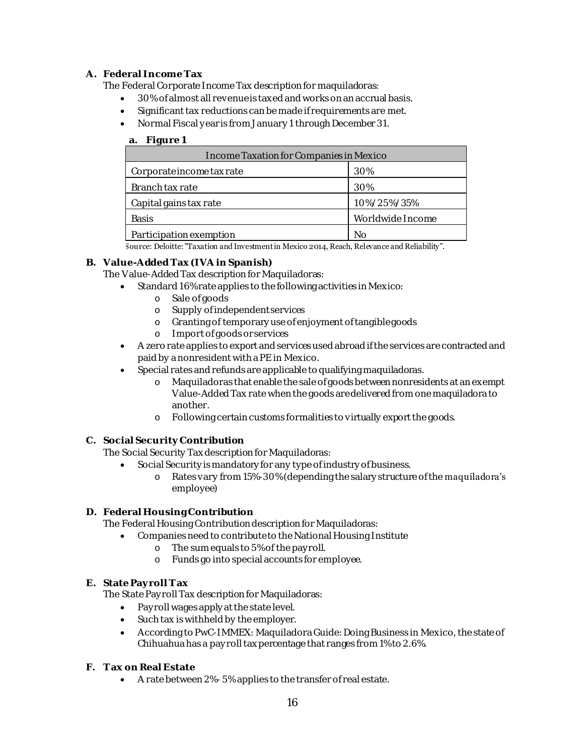#### **A. Federal Income Tax**

The Federal Corporate Income Tax description for maquiladoras:

- 30% of almost all revenue is taxed and works on an accrual basis.
- Significant tax reductions can be made if requirements are met.
- Normal Fiscal y ear is from January 1 through December 31.

#### **a. Figure 1**

| Income Taxation for Companies in Mexico |                  |  |  |  |
|-----------------------------------------|------------------|--|--|--|
| Corporate income tax rate               | 30%              |  |  |  |
| Branch tax rate                         | 30%              |  |  |  |
| Capital gains tax rate                  | 10%/25%/35%      |  |  |  |
| <b>Basis</b>                            | Worldwide Income |  |  |  |
| Participation exemption                 | Nο               |  |  |  |

Source: Deloitte: "Taxation and Investment in Mexico 2014, Reach, Relevance and Reliability".

**B. Value-Added Tax (IVA in Spanish)**

The Value-Added Tax description for Maquiladoras:

- Standard 16% rate applies to the following activities in Mexico:
	- o Sale of goods
	- o Supply of independent services
	- o Granting of temporary use of enjoyment of tangible goods
	- o Import of goods or services
- A zero rate applies to export and services used abroad if the services are contracted and paid by a nonresident with a PE in Mexico.
- Special rates and refunds are applicable to qualifying maquiladoras.
	- o Maquiladoras that enable the sale of goods between nonresidents at an exempt Value-Added Tax rate when the goods are delivered from one maquiladora to another.
	- o Following certain customs formalities to virtually export the goods.
- **C. Social Security Contribution**

The Social Security Tax description for Maquiladoras:

- Social Security is mandatory for any type of industry of business.
	- o Rates vary from 15%-30% (depending the salary structure of the maquiladora's employee)
- **D. Federal Housing Contribution**

The Federal Housing Contribution description for Maquiladoras:

- Companies need to contribute to the National Housing Institute
	- o The sum equals to 5% of the pay roll.
	- o Funds go into special accounts for employee.
- **E. State Pay roll T ax**

The State Pay roll Tax description for Maquiladoras:

- Pay roll wages apply at the state level.
- Such tax is withheld by the employer.
- According to PwC-IMMEX: Maquiladora Guide: Doing Business in Mexico, the state of Chihuahua has a pay roll tax percentage that ranges from 1% to 2.6%.
- **F. T ax on Real Estate**
	- A rate between 2%- 5% applies to the transfer of real estate.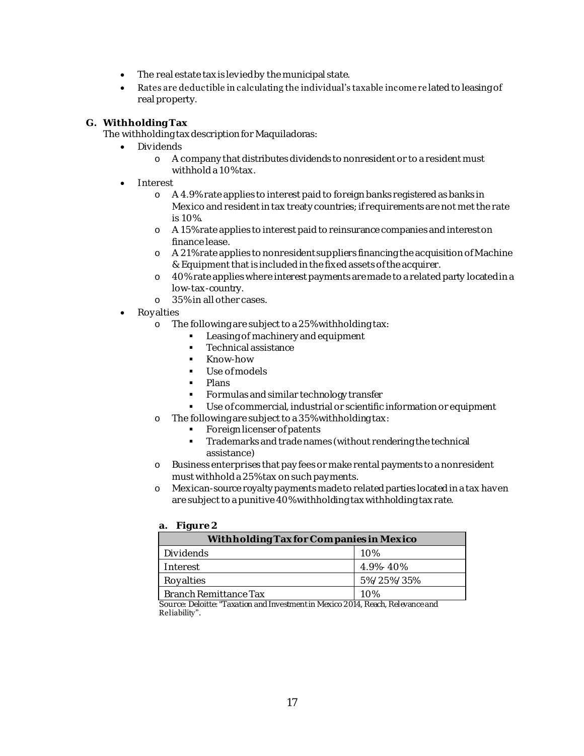- The real estate tax is levied by the municipal state.
- Rates are deductible in calculating the individual's taxable income re lated to leasing of real property.

#### **G. Withholding Tax**

The withholding tax description for Maquiladoras:

- Dividends
	- o A company that distributes dividends to nonresident or to a resident must withhold a 10% tax.
- **•** Interest
	- o A 4.9% rate applies to interest paid to foreign banks registered as banks in Mexico and resident in tax treaty countries; if requirements are not met the rate is 10%.
	- o A 15% rate applies to interest paid to reinsurance companies and interest on finance lease.
	- o A 21% rate applies to nonresident suppliers financing the acquisition of Machine & Equipment that is included in the fixed assets of the acquirer.
	- o 40% rate applies where interest payments are made to a related party located in a low-tax-country.
	- o 35% in all other cases.
- Royalties
	- o The following are subject to a 25% withholding tax:
		- **Leasing of machinery and equipment**
		- **Technical assistance**
		- **Know-how**
		- Use of models
		- · Plans
		- **Formulas and similar technology transfer**
		- Use of commercial, industrial or scientific information or equipment
	- o The following are subject to a 35% withholding tax:
		- **Foreign licenser of patents**
		- **Trademarks and trade names (without rendering the technical** assistance)
	- o Business enterprises that pay fees or make rental payments to a nonresident must withhold a 25% tax on such pay ments.
	- o Mexican-source royalty payments made to related parties located in a tax haven are subject to a punitive 40% withholding tax withholding tax rate.

#### **a. Figure 2**

| Withholding Tax for Companies in Mexico |                |  |  |
|-----------------------------------------|----------------|--|--|
| Dividends                               | 10%            |  |  |
| Interest                                | $4.9\% - 40\%$ |  |  |
| Royalties                               | 5%/25%/35%     |  |  |
| Branch Remittance Tax                   | 1 N%           |  |  |

Source: Deloitte: "Taxation and Investment in Mexico 2014, Reach, Relevance and Reliability".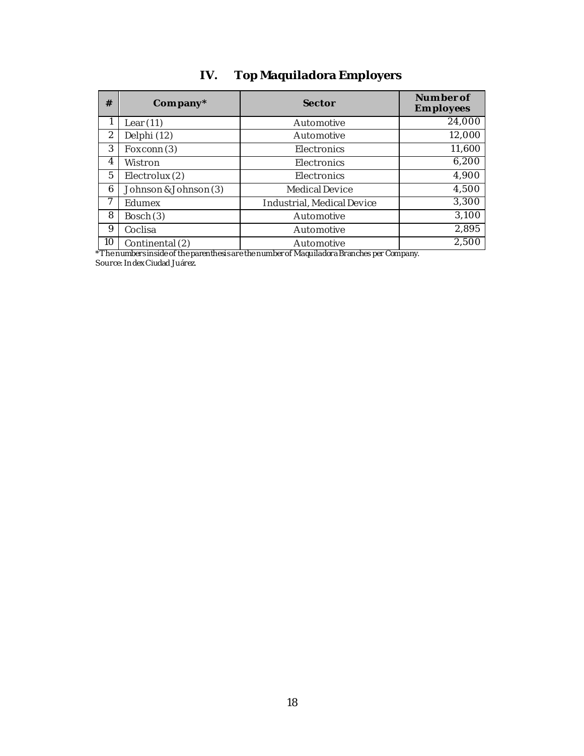## **IV. Top Maquiladora Employers**

<span id="page-19-0"></span>

| #  | Company*              | Sector                     | Numberof<br>Employees |
|----|-----------------------|----------------------------|-----------------------|
|    | Lear $(11)$           | Automotive                 | 24,000                |
| 2  | Delphi (12)           | Automotive                 | 12,000                |
| 3  | Foxconn(3)            | <b>Flectronics</b>         | 11,600                |
| 4  | Wistron               | Electronics                | 6,200                 |
| 5  | Electrolux (2)        | Electronics                | 4,900                 |
| 6  | Johnson & Johnson (3) | Medical Device             | 4,500                 |
|    | Edumex                | Industrial, Medical Device | 3,300                 |
| 8  | Bosch (3)             | Automotive                 | 3,100                 |
| 9  | Coclisa               | Automotive                 | 2,895                 |
| 10 | Continental (2)       | Automotive                 | 2,500                 |

\*The numbers inside of the parenthesis are the number of Maquiladora Branches per Company.

Source: In dex Ciudad Juárez.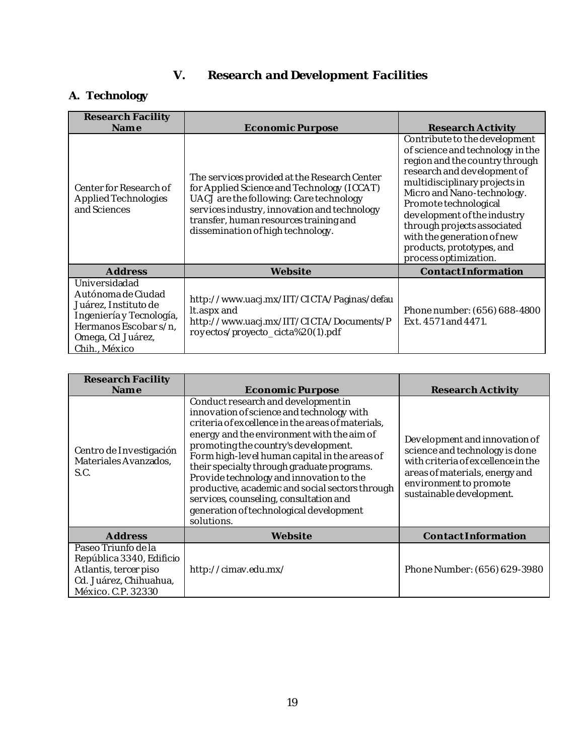## **V. Research and Development Facilities**

## <span id="page-20-1"></span><span id="page-20-0"></span>**A. Technology**

| Research Facility<br>Name                                                                                                                              | Economic Purpose                                                                                                                                                                                                                                                     | Research Activity                                                                                                                                                                                                                                                                                                                                                            |
|--------------------------------------------------------------------------------------------------------------------------------------------------------|----------------------------------------------------------------------------------------------------------------------------------------------------------------------------------------------------------------------------------------------------------------------|------------------------------------------------------------------------------------------------------------------------------------------------------------------------------------------------------------------------------------------------------------------------------------------------------------------------------------------------------------------------------|
| Center for Research of<br>Applied Technologies<br>and Sciences                                                                                         | The services provided at the Research Center<br>for Applied Science and Technology (ICCAT)<br>UACJ are the following: Care technology<br>services industry, innovation and technology<br>transfer, human resources training and<br>dissemination of high technology. | Contribute to the development<br>of science and technology in the<br>region and the country through<br>research and development of<br>multidisciplinary projects in<br>Micro and Nano-technology.<br>Promote technological<br>development of the industry<br>through projects associated<br>with the generation of new<br>products, prototypes, and<br>process optimization. |
| Address                                                                                                                                                | Website                                                                                                                                                                                                                                                              | ContactInformation                                                                                                                                                                                                                                                                                                                                                           |
| Universidadad<br>Autónoma de Ciudad<br>Juárez, Instituto de<br>Ingeniería y Tecnología,<br>Hermanos Escobar s/n,<br>Omega, Cd Juárez,<br>Chih., México | http://www.uacj.mx/IIT/CICTA/Paginas/defau<br>It.aspx and<br>http://www.uacj.mx/IIT/CICTA/Documents/P<br>royectos/proyecto_cicta%20(1).pdf                                                                                                                           | Phone number: (656) 688-4800<br>Ext. 4571 and 4471.                                                                                                                                                                                                                                                                                                                          |

| Research Facility<br>Name                                                                                                | Economic Purpose                                                                                                                                                                                                                                                                                                                                                                                                                                                                                                             | Research Activity                                                                                                                                                                             |
|--------------------------------------------------------------------------------------------------------------------------|------------------------------------------------------------------------------------------------------------------------------------------------------------------------------------------------------------------------------------------------------------------------------------------------------------------------------------------------------------------------------------------------------------------------------------------------------------------------------------------------------------------------------|-----------------------------------------------------------------------------------------------------------------------------------------------------------------------------------------------|
| Centro de Investigación<br>Materiales Avanzados,<br>S.C.                                                                 | Conduct research and development in<br>innovation of science and technology with<br>criteria of excellence in the areas of materials,<br>energy and the environment with the aim of<br>promoting the country's development.<br>Form high-level human capital in the areas of<br>their specialty through graduate programs.<br>Provide technology and innovation to the<br>productive, academic and social sectors through<br>services, counseling, consultation and<br>generation of technological development<br>solutions. | Development and innovation of<br>science and technology is done<br>with criteria of excellence in the<br>areas of materials, energy and<br>environment to promote<br>sustainable development. |
| Address                                                                                                                  | Website                                                                                                                                                                                                                                                                                                                                                                                                                                                                                                                      | ContactInformation                                                                                                                                                                            |
| Paseo Triunfo de la<br>República 3340, Edificio<br>Atlantis, tercer piso<br>Cd. Juárez, Chihuahua,<br>México. C.P. 32330 | http://cimav.edu.mx/                                                                                                                                                                                                                                                                                                                                                                                                                                                                                                         | Phone Number: (656) 629-3980                                                                                                                                                                  |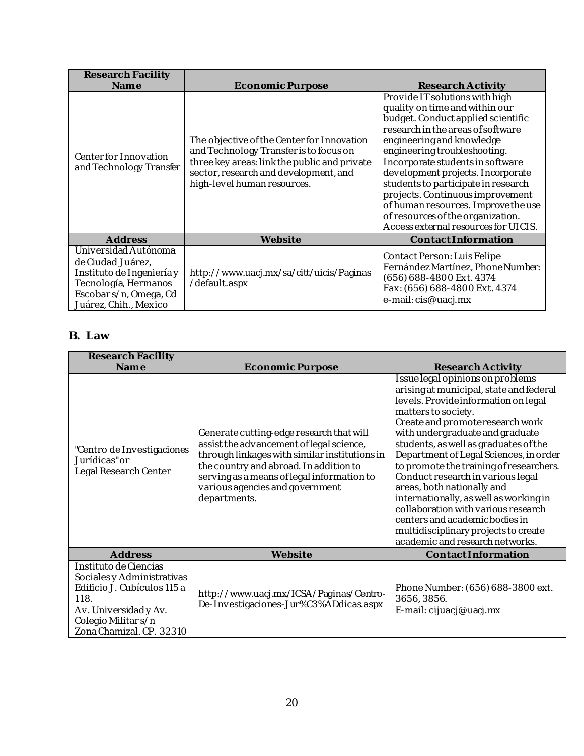| Research Facility<br>Name                                                                                                                         | Economic Purpose                                                                                                                                                                                             | Research Activity                                                                                                                                                                                                                                                                                                                                                                                                                                                                |
|---------------------------------------------------------------------------------------------------------------------------------------------------|--------------------------------------------------------------------------------------------------------------------------------------------------------------------------------------------------------------|----------------------------------------------------------------------------------------------------------------------------------------------------------------------------------------------------------------------------------------------------------------------------------------------------------------------------------------------------------------------------------------------------------------------------------------------------------------------------------|
| Center for Innovation<br>and Technology Transfer                                                                                                  | The objective of the Center for Innovation<br>and Technology Transfer is to focus on<br>three key areas: link the public and private<br>sector, research and development, and<br>high-level human resources. | Provide IT solutions with high<br>quality on time and within our<br>budget. Conduct applied scientific<br>research in the areas of software<br>engineering and knowledge<br>engineering troubleshooting.<br>Incorporate students in software<br>development projects. Incorporate<br>students to participate in research<br>projects. Continuous improvement<br>of human resources. Improve the use<br>of resources of the organization.<br>Access external resources for UICIS. |
| Address                                                                                                                                           | Website                                                                                                                                                                                                      | ContactInformation                                                                                                                                                                                                                                                                                                                                                                                                                                                               |
| Universidad Autónoma<br>de Ciudad Juárez,<br>Instituto de Ingeniería y<br>Tecnología, Hermanos<br>Escobar s/n, Omega, Cd<br>Juárez, Chih., Mexico | http://www.uacj.mx/sa/citt/uicis/Paginas<br>/default.aspx                                                                                                                                                    | Contact Person: Luis Felipe<br>Fernández Martínez, Phone Number:<br>(656) 688-4800 Ext. 4374<br>Fax: (656) 688-4800 Ext. 4374<br>e-mail: cis@uacj.mx                                                                                                                                                                                                                                                                                                                             |

#### <span id="page-21-0"></span>**B. Law**

| Research Facility<br>Name                                                                                                                                             | Economic Purpose                                                                                                                                                                                                                                                                 | Research Activity                                                                                                                                                                                                                                                                                                                                                                                                                                                                                                                                                                                               |
|-----------------------------------------------------------------------------------------------------------------------------------------------------------------------|----------------------------------------------------------------------------------------------------------------------------------------------------------------------------------------------------------------------------------------------------------------------------------|-----------------------------------------------------------------------------------------------------------------------------------------------------------------------------------------------------------------------------------------------------------------------------------------------------------------------------------------------------------------------------------------------------------------------------------------------------------------------------------------------------------------------------------------------------------------------------------------------------------------|
| "Centro de Investigaciones<br>Jurídicas" or<br>Legal Research Center                                                                                                  | Generate cutting-edge research that will<br>assist the advancement of legal science,<br>through linkages with similar institutions in<br>the country and abroad. In addition to<br>serving as a means of legal information to<br>various agencies and government<br>departments. | Issue legal opinions on problems<br>arising at municipal, state and federal<br>levels. Provide information on legal<br>matters to society.<br>Create and promoteresearch work<br>with undergraduate and graduate<br>students, as well as graduates of the<br>Department of Legal Sciences, in order<br>to promote the training of researchers.<br>Conduct research in various legal<br>areas, both nationally and<br>internationally, as well as working in<br>collaboration with various research<br>centers and academic bodies in<br>multidisciplinary projects to create<br>academic and research networks. |
| Address                                                                                                                                                               | Website                                                                                                                                                                                                                                                                          | ContactInformation                                                                                                                                                                                                                                                                                                                                                                                                                                                                                                                                                                                              |
| Instituto de Ciencias<br>Sociales y Administrativas<br>Edificio J. Cubículos 115 a<br>118.<br>Av. Universidady Av.<br>Colegio Militar s/n<br>Zona Chamizal. CP. 32310 | http://www.uacj.mx/ICSA/Paginas/Centro-<br>De-Investigaciones-Jur%C3%ADdicas.aspx                                                                                                                                                                                                | Phone Number: (656) 688-3800 ext.<br>3656, 3856.<br>E-mail: cijuacj@uacj.mx                                                                                                                                                                                                                                                                                                                                                                                                                                                                                                                                     |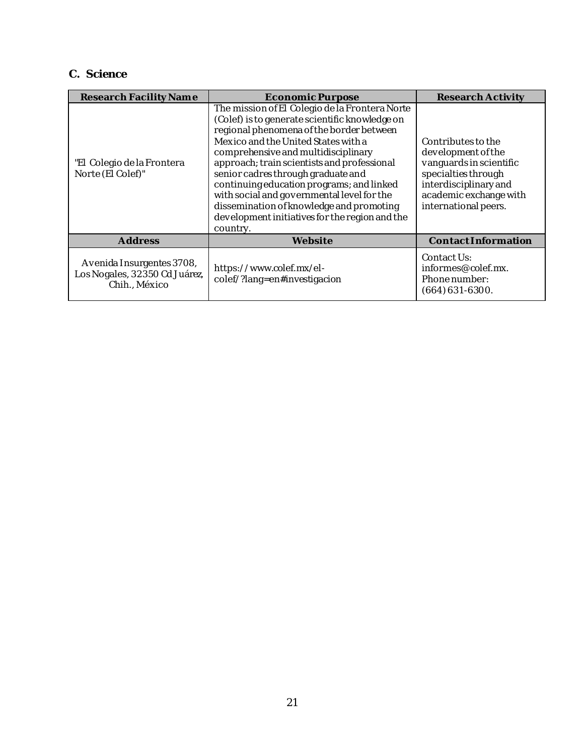### <span id="page-22-0"></span>**C. Science**

| Research Facility Name                                                      | Economic Purpose                                                                                                                                                                                                                                                                                                                                                                                                                                                                                                     | Research Activity                                                                                                                                                     |
|-----------------------------------------------------------------------------|----------------------------------------------------------------------------------------------------------------------------------------------------------------------------------------------------------------------------------------------------------------------------------------------------------------------------------------------------------------------------------------------------------------------------------------------------------------------------------------------------------------------|-----------------------------------------------------------------------------------------------------------------------------------------------------------------------|
| "El Colegio de la Frontera<br>Norte (El Colef)"                             | The mission of El Colegio de la Frontera Norte<br>(Colef) is to generate scientific knowledge on<br>regional phenomena of the border between<br>Mexico and the United States with a<br>comprehensive and multidisciplinary<br>approach; train scientists and professional<br>senior cadres through graduate and<br>continuing education programs; and linked<br>with social and governmental level for the<br>dissemination of knowledge and promoting<br>development initiatives for the region and the<br>country. | Contributes to the<br>development of the<br>vanguards in scientific<br>specialties through<br>interdisciplinary and<br>academic exchange with<br>international peers. |
| Address                                                                     | Website                                                                                                                                                                                                                                                                                                                                                                                                                                                                                                              | ContactInformation                                                                                                                                                    |
| Avenida Insurgentes 3708,<br>Los Nogales, 32350 Cd Juárez,<br>Chih., México | https://www.colef.mx/el-<br>colef/?lang=en#investigacion                                                                                                                                                                                                                                                                                                                                                                                                                                                             | Contact Us:<br>informes@colef.mx.<br>Phone number:<br>$(664)631 - 6300.$                                                                                              |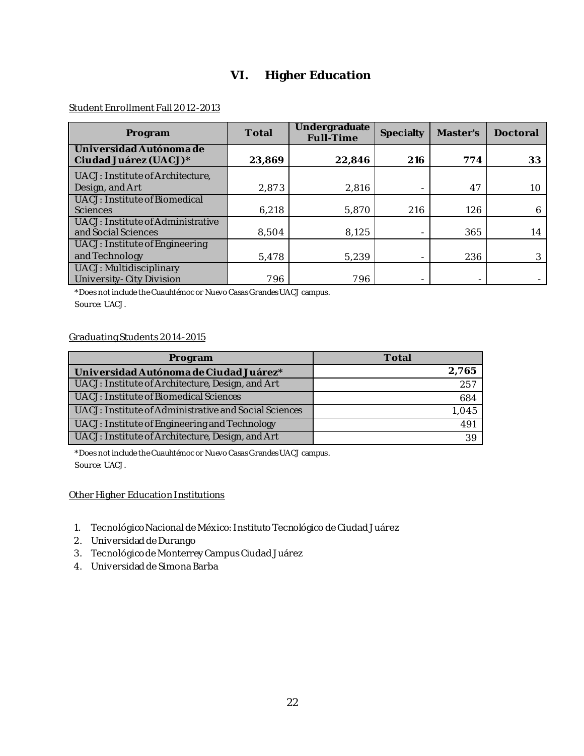## **VI. Higher Education**

#### <span id="page-23-0"></span>Student Enrollment Fall 2012-2013

| Program                                                  | Total  | Undergraduate<br>Full-Time | Specialty | Master's | Doctoral |
|----------------------------------------------------------|--------|----------------------------|-----------|----------|----------|
| Universidad Autónoma de<br>Ciudad Juárez (UACJ)*         | 23,869 | 22,846                     | 216       | 774      | 33       |
| UACJ: Institute of Architecture,<br>Design, and Art      | 2,873  | 2,816                      |           | 47       | 10       |
| UACJ: Institute of Biomedical<br><b>Sciences</b>         | 6,218  | 5,870                      | 216       | 126      | 6        |
| UACJ: Institute of Administrative<br>and Social Sciences | 8,504  | 8.125                      |           | 365      | 14       |
| UACJ: Institute of Engineering<br>and Technology         | 5.478  | 5.239                      |           | 236      |          |
| UACJ: Multidisciplinary<br>University-City Division      | 796    | 796                        |           |          |          |

\*Does not include the Cuauhtémoc or Nuevo Casas Grandes UACJ campus.

Source: UACJ.

#### Graduating Students 2014-2015

| Program                                               | Total           |
|-------------------------------------------------------|-----------------|
| Universidad Autónoma de Ciudad Juárez*                | 2,765           |
| UACJ: Institute of Architecture, Design, and Art      | 257             |
| UACJ: Institute of Biomedical Sciences                | 684             |
| UACJ: Institute of Administrative and Social Sciences | 1,045           |
| UACJ: Institute of Engineering and Technology         | 49 <sup>°</sup> |
| UACJ: Institute of Architecture, Design, and Art      |                 |

\*Does not include the Cuauhtémoc or Nuevo Casas Grandes UACJ campus. Source: UACJ.

#### Other Higher Education Institutions

- 1. Tecnológico Nacional de México: Instituto Tecnológico de Ciudad Juárez
- 2. Universidad de Durango
- 3. Tecnológico de Monterrey Campus Ciudad Juárez
- 4. Universidad de Simona Barba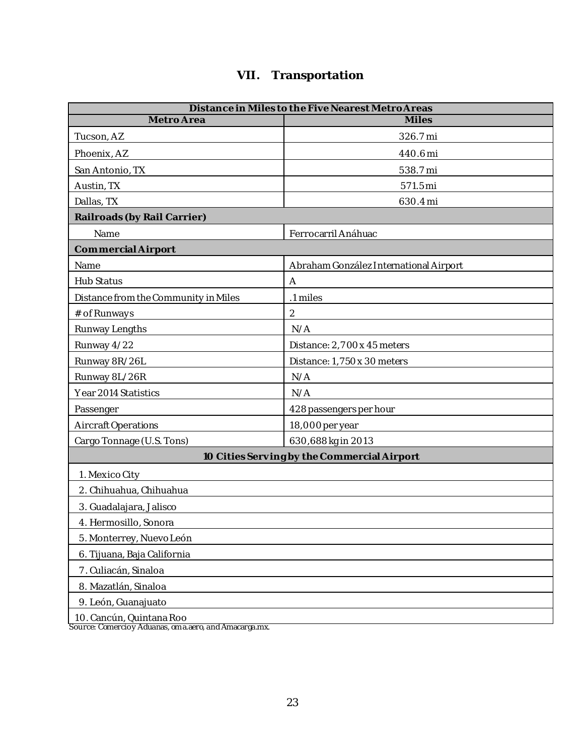## **VII. Transportation**

<span id="page-24-0"></span>

| Distance in Miles to the Five Nearest Metro Areas |                                             |  |  |
|---------------------------------------------------|---------------------------------------------|--|--|
| Metro Area                                        | <b>Miles</b>                                |  |  |
| Tucson, AZ                                        | 326.7 mi                                    |  |  |
| Phoenix, AZ                                       | 440.6 mi                                    |  |  |
| San Antonio, TX                                   | 538.7 mi                                    |  |  |
| Austin, TX                                        | 571.5 mi                                    |  |  |
| Dallas, TX                                        | 630.4 mi                                    |  |  |
| Railroads (by Rail Carrier)                       |                                             |  |  |
| Name                                              | Ferrocarril Anáhuac                         |  |  |
| Commercial Airport                                |                                             |  |  |
| Name                                              | Abraham González International Airport      |  |  |
| Hub Status                                        | A                                           |  |  |
| Distance from the Community in Miles              | .1 miles                                    |  |  |
| # of Runways                                      | $\sqrt{2}$                                  |  |  |
| Runway Lengths                                    | N/A                                         |  |  |
| Runway 4/22                                       | Distance: 2,7 00 x 45 meters                |  |  |
| Runway 8R/26L                                     | Distance: 1,750 x 30 meters                 |  |  |
| Runway 8L/26R                                     | N/A                                         |  |  |
| Year 2014 Statistics                              | N/A                                         |  |  |
| Passenger                                         | 428 passengers per hour                     |  |  |
| Aircraft Operations                               | 18,000 per year                             |  |  |
| Cargo Tonnage (U.S. Tons)                         | 630,688 kg in 2013                          |  |  |
|                                                   | 10 Cities Serving by the Commercial Airport |  |  |
| 1. Mexico City                                    |                                             |  |  |
| 2. Chihuahua, Chihuahua                           |                                             |  |  |
| 3. Guadalajara, Jalisco                           |                                             |  |  |
| 4. Hermosillo, Sonora                             |                                             |  |  |
| 5. Monterrey, Nuevo León                          |                                             |  |  |
| 6. Tijuana, Baja California                       |                                             |  |  |
| 7. Culiacán, Sinaloa                              |                                             |  |  |
| 8. Mazatlán, Sinaloa                              |                                             |  |  |
| 9. León, Guanajuato                               |                                             |  |  |
| 10. Cancún, Quintana Roo                          |                                             |  |  |

Source: Comercio y Aduanas, oma.aero, and Amacarga.mx.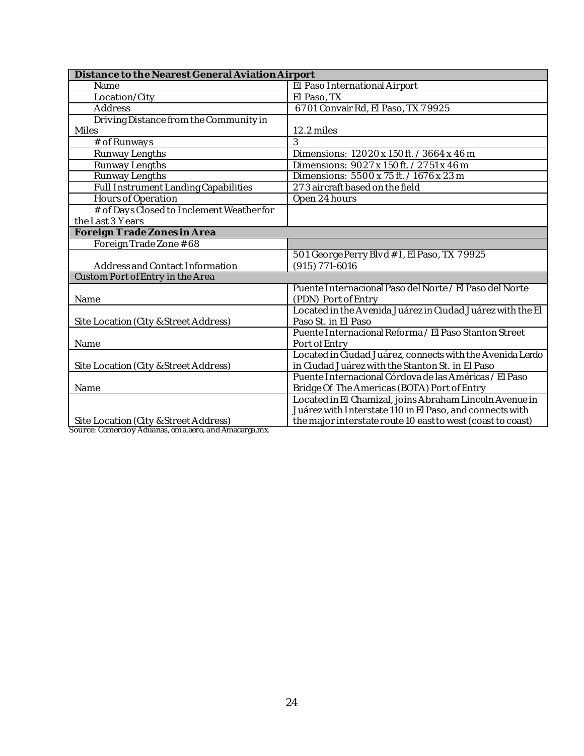| Distance to the Nearest General Aviation Airport |                                                                                |
|--------------------------------------------------|--------------------------------------------------------------------------------|
| Name                                             | El Paso International Airport                                                  |
| Location/City                                    | El Paso, TX                                                                    |
| Address                                          | 67 01 Convair Rd, El Paso, TX 7 9925                                           |
| Driving Distance from the Community in           |                                                                                |
| Miles                                            | 12.2 miles                                                                     |
| # of Runways                                     | $\overline{3}$                                                                 |
| Runway Lengths                                   | Dimensions: 12020 x 150 ft. / 3664 x 46 m                                      |
| Runway Lengths                                   | Dimensions: 9027 x 150ft. / 2751 x 46 m                                        |
| Runway Lengths                                   | Dimensions: 5500 x 75 ft. / 1676 x 23 m                                        |
| Full Instrument Landing Capabilities             | 273 aircraft based on the field                                                |
| Hours of Operation                               | Open 24 hours                                                                  |
| # of Days Closed to Inclement Weatherfor         |                                                                                |
| the Last 3 Years                                 |                                                                                |
| Foreign Trade Zones in Area                      |                                                                                |
| Foreign Trade Zone #68                           |                                                                                |
|                                                  | 501 George Perry Blvd # I, El Paso, TX 79925                                   |
| Address and Contact Information                  | $(915)$ 771-6016                                                               |
| Custom Port of Entry in the Area                 |                                                                                |
| Name                                             | Puente Internacional Paso del Norte / El Paso del Norte<br>(PDN) Port of Entry |
|                                                  | Located in the Avenida Juárez in Ciudad Juárez with the El                     |
| Site Location (City & Street Address)            | Paso St. in El Paso                                                            |
|                                                  | Puente Internacional Reforma / El Paso Stanton Street                          |
| Name                                             | Port of Entry                                                                  |
|                                                  | Located in Ciudad Juárez, connects with the Avenida Lerdo                      |
| Site Location (City & Street Address)            | in Ciudad Juárez with the Stanton St. in El Paso                               |
|                                                  | Puente Internacional Córdova de las Américas / El Paso                         |
| Name                                             | Bridge Of The Americas (BOTA) Port of Entry                                    |
|                                                  | Located in El Chamizal, joins Abraham Lincoln Avenue in                        |
|                                                  | Juárez with Interstate 110 in El Paso, and connects with                       |
| Site Location (City & Street Address)            | the major interstate route 10 east to west (coast to coast)                    |

Source: Comercio y Aduanas, om a.aero, and Amacarga.mx.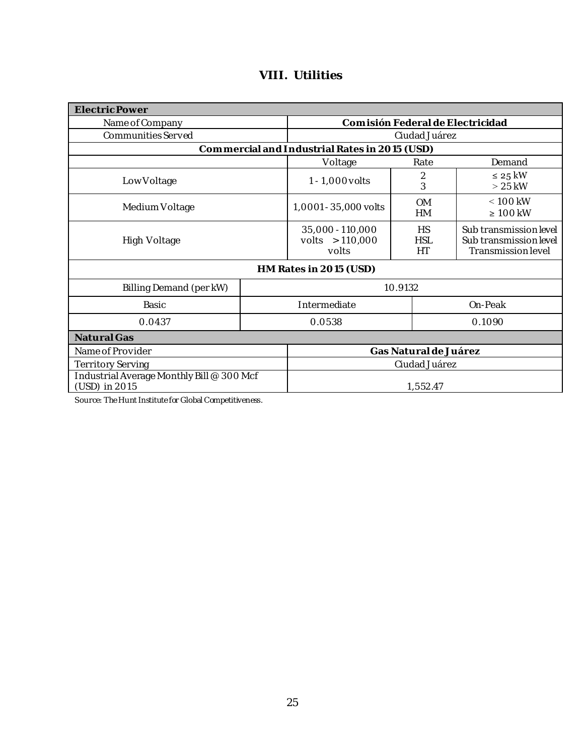<span id="page-26-0"></span>

| Electric Power                                             |              |                                                |                               |                                                                        |  |
|------------------------------------------------------------|--------------|------------------------------------------------|-------------------------------|------------------------------------------------------------------------|--|
| Name of Company                                            |              | Comisión Federal de Electricidad               |                               |                                                                        |  |
| Communities Served                                         |              |                                                | Ciudad Juárez                 |                                                                        |  |
|                                                            |              | Commercial and Industrial Rates in 2015 (USD)  |                               |                                                                        |  |
|                                                            |              | Voltage                                        | Rate                          | Demand                                                                 |  |
| Low Voltage                                                |              | $1 - 1,000$ volts                              | 2<br>3                        | $\leq$ 25 kW<br>$>25$ kW                                               |  |
| Medium Voltage                                             |              | 1,0001 - 35,000 volts                          | <b>OM</b><br><b>HM</b>        | $< 100$ kW<br>$\geq 100$ kW                                            |  |
| High Voltage                                               |              | 35,000 - 110,000<br>volts $> 110,000$<br>volts | <b>HS</b><br><b>HSL</b><br>HT | Sub transmission level<br>Sub transmission level<br>Transmission level |  |
| HM Rates in 2015 (USD)                                     |              |                                                |                               |                                                                        |  |
| Billing Demand (per kW)                                    | 10.9132      |                                                |                               |                                                                        |  |
| Basic                                                      | Intermediate |                                                |                               | On-Peak                                                                |  |
| 0.0437                                                     |              | 0.0538<br>0.1090                               |                               |                                                                        |  |
| Natural Gas                                                |              |                                                |                               |                                                                        |  |
| Name of Provider                                           |              | Gas Natural de Juárez                          |                               |                                                                        |  |
| Territory Serving                                          |              | Ciudad Juárez                                  |                               |                                                                        |  |
| Industrial Average Monthly Bill @ 300 Mcf<br>(USD) in 2015 |              | 1,552.47                                       |                               |                                                                        |  |

## **VIII. Utilities**

Source: The Hunt Institute for Global Competitiveness.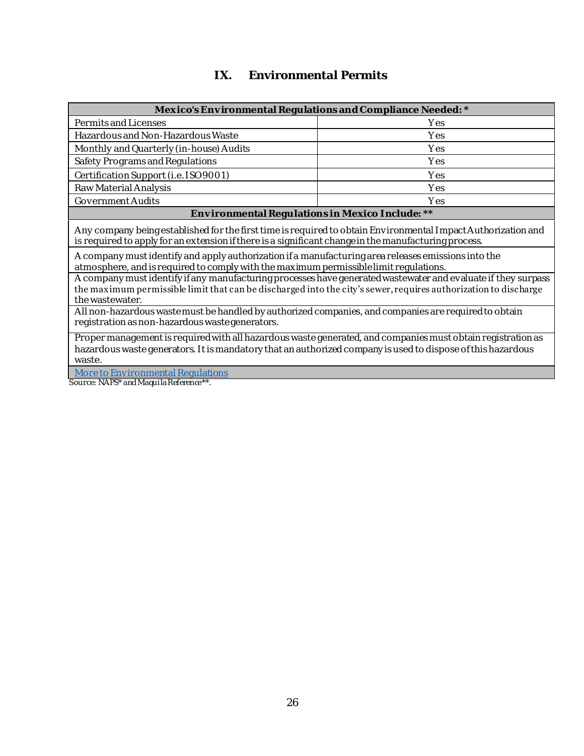## **IX. Environmental Permits**

<span id="page-27-0"></span>

| Mexico's Environmental Regulations and Compliance Needed: *                                                                                                                                                                                         |     |  |  |
|-----------------------------------------------------------------------------------------------------------------------------------------------------------------------------------------------------------------------------------------------------|-----|--|--|
| Permits and Licenses                                                                                                                                                                                                                                | Yes |  |  |
| Hazardous and Non-Hazardous Waste<br>Yes                                                                                                                                                                                                            |     |  |  |
| Monthly and Quarterly (in-house) Audits<br>Yes                                                                                                                                                                                                      |     |  |  |
| Safety Programs and Regulations<br>Yes                                                                                                                                                                                                              |     |  |  |
| Certification Support (i.e. ISO 9001)                                                                                                                                                                                                               | Yes |  |  |
| Raw Material Analysis                                                                                                                                                                                                                               | Yes |  |  |
| Government Audits                                                                                                                                                                                                                                   | Yes |  |  |
| Environmental Regulations in Mexico Include: **                                                                                                                                                                                                     |     |  |  |
| Any company being established for the first time is required to obtain Environmental Impact Authorization and<br>is required to apply for an extension if there is a significant change in the manufacturing process.                               |     |  |  |
| A company must identify and apply authorization if a manufacturing area releases emissions into the<br>atmosphere, and is required to comply with the maximum permissible limit regulations.                                                        |     |  |  |
| A company must identify if any manufacturing processes have generated wastewater and evaluate if they surpass<br>the maximum permissible limit that can be discharged into the city's sewer, requires authorization to discharge<br>the wastewater. |     |  |  |
| All non-hazardous waste must be handled by authorized companies, and companies are required to obtain<br>registration as non-hazardous wastegenerators.                                                                                             |     |  |  |
| Proper management is required with all hazardous waste generated, and companies must obtain registration as<br>hazardous waste generators. It is mandatory that an authorized company is used to dispose of this hazardous<br>waste.                |     |  |  |
| More to Environmental Regulations                                                                                                                                                                                                                   |     |  |  |

Source: NAPS\* and Maquila Reference\*\*.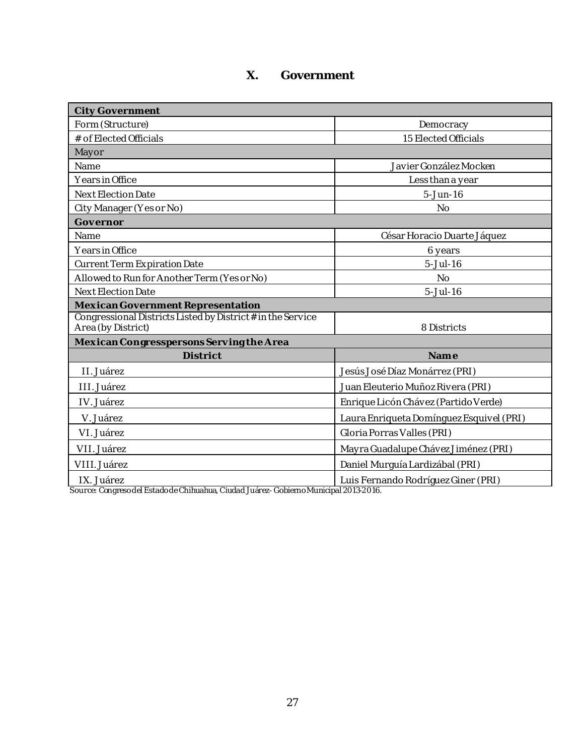## **X. Government**

<span id="page-28-0"></span>

| <b>City Government</b>                                                            |                                          |  |
|-----------------------------------------------------------------------------------|------------------------------------------|--|
| Form (Structure)                                                                  | Democracy                                |  |
| # of Elected Officials                                                            | 15 Elected Officials                     |  |
| Mayor                                                                             |                                          |  |
| Name                                                                              | Javier González Mocken                   |  |
| Years in Office                                                                   | Less than a year                         |  |
| Next Election Date                                                                | $5 - Jun-16$                             |  |
| City Manager (Yes or No)                                                          | No                                       |  |
| Governor                                                                          |                                          |  |
| Name                                                                              | César Horacio Duarte Jáquez              |  |
| Years in Office                                                                   | 6 years                                  |  |
| Current Term Expiration Date                                                      | $5 - Jul - 16$                           |  |
| Allowed to Run for Another Term (Yes or No)                                       | <b>No</b>                                |  |
| Next Election Date                                                                | $5 - Jul - 16$                           |  |
| Mexican Government Representation                                                 |                                          |  |
| Congressional Districts Listed by District # in the Service<br>Area (by District) | 8 Districts                              |  |
| Mexican Congresspersons Serving the Area                                          |                                          |  |
| <b>District</b>                                                                   | Name                                     |  |
| II. Juárez                                                                        | Jesús José Díaz Monárrez (PRI)           |  |
| III. Juárez                                                                       | Juan Eleuterio Muñoz Rivera (PRI)        |  |
| IV. Juárez                                                                        | Enrique Licón Chávez (Partido Verde)     |  |
| V. Juárez                                                                         | Laura Enriqueta Domínguez Esquivel (PRI) |  |
| VI. Juárez                                                                        | Gloria Porras Valles (PRI)               |  |
| VII. Juárez                                                                       | Mayra Guadalupe Chávez Jiménez (PRI)     |  |
| VIII. Juárez                                                                      | Daniel Murguía Lardizábal (PRI)          |  |
| IX. Juárez                                                                        | Luis Fernando Rodríguez Giner (PRI)      |  |

Source: Congreso del Estado de Chihuahua, Ciudad Juárez- Gobierno Municipal 2013-2016.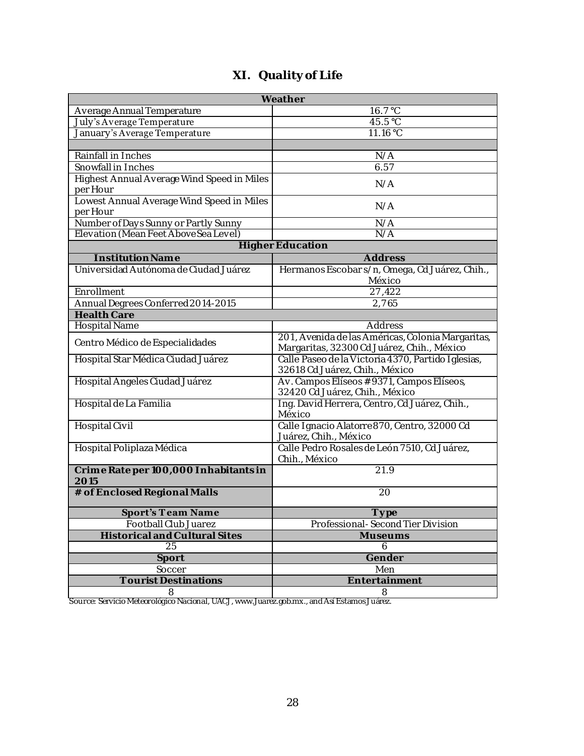<span id="page-29-0"></span>

| Weather                                                |                                                                                                 |  |  |
|--------------------------------------------------------|-------------------------------------------------------------------------------------------------|--|--|
| Average Annual Temperature                             | 16.7 °C                                                                                         |  |  |
| July's Average Temperature                             | 45.5 °C                                                                                         |  |  |
| January's Average Temperature                          | 11.16 °C                                                                                        |  |  |
|                                                        |                                                                                                 |  |  |
| Rainfall in Inches                                     | N/A                                                                                             |  |  |
| Snowfall in Inches                                     | 6.57                                                                                            |  |  |
| Highest Annual Average Wind Speed in Miles<br>per Hour | N/A                                                                                             |  |  |
| Lowest Annual Average Wind Speed in Miles<br>per Hour  | N/A                                                                                             |  |  |
| Number of Days Sunny or Partly Sunny                   | N/A                                                                                             |  |  |
| Elevation (Mean Feet Above Sea Level)                  | N/A                                                                                             |  |  |
|                                                        | <b>Higher Education</b>                                                                         |  |  |
| <b>Institution Name</b>                                | Address                                                                                         |  |  |
| Universidad Autónoma de Ciudad Juárez                  | Hermanos Escobar s/n, Omega, Cd Juárez, Chih.,<br>México                                        |  |  |
| Enrollment                                             | 27,422                                                                                          |  |  |
| Annual Degrees Conferred 2014-2015                     | 2,765                                                                                           |  |  |
| <b>Health Care</b>                                     |                                                                                                 |  |  |
| Hospital Name                                          | Address                                                                                         |  |  |
| Centro Médico de Especialidades                        | 201, Avenida de las Américas, Colonia Margaritas,<br>Margaritas, 32300 Cd Juárez, Chih., México |  |  |
| Hospital Star Médica Ciudad Juárez                     | Calle Paseo de la Victoria 4370, Partido Iglesias,<br>32618 Cd Juárez, Chih., México            |  |  |
| Hospital Ángeles Ciudad Juárez                         | Av. Campos Elíseos #9371, Campos Elíseos,<br>32420 Cd Juárez, Chih., México                     |  |  |
| Hospital de La Familia                                 | Ing. David Herrera, Centro, Cd Juárez, Chih.,<br>México                                         |  |  |
| Hospital Civil                                         | Calle Ignacio Alatorre 870, Centro, 32000 Cd<br>Juárez, Chih., México                           |  |  |
| Hospital Poliplaza Médica                              | Calle Pedro Rosales de León 7510, Cd Juárez,<br>Chih., México                                   |  |  |
| Crime Rate per 100,000 Inhabitants in<br>2015          | 21.9                                                                                            |  |  |
| # of Enclosed Regional Malls                           | 20                                                                                              |  |  |
| <b>Sport's Team Name</b>                               | Type                                                                                            |  |  |
| Football Club Juarez                                   | Professional-Second Tier Division                                                               |  |  |
| <b>Historical and Cultural Sites</b>                   | <b>Museums</b>                                                                                  |  |  |
| 25                                                     | 6                                                                                               |  |  |
| Sport                                                  | Gender                                                                                          |  |  |
| Soccer                                                 | Men                                                                                             |  |  |
| <b>Tourist Destinations</b>                            | Entertainment                                                                                   |  |  |
| 8                                                      | 8                                                                                               |  |  |

## **XI. Quality of Life**

Source: Servicio Meteorológico Nacional, UACJ, www.Juarez.gob.mx., and Así Estamos Juárez.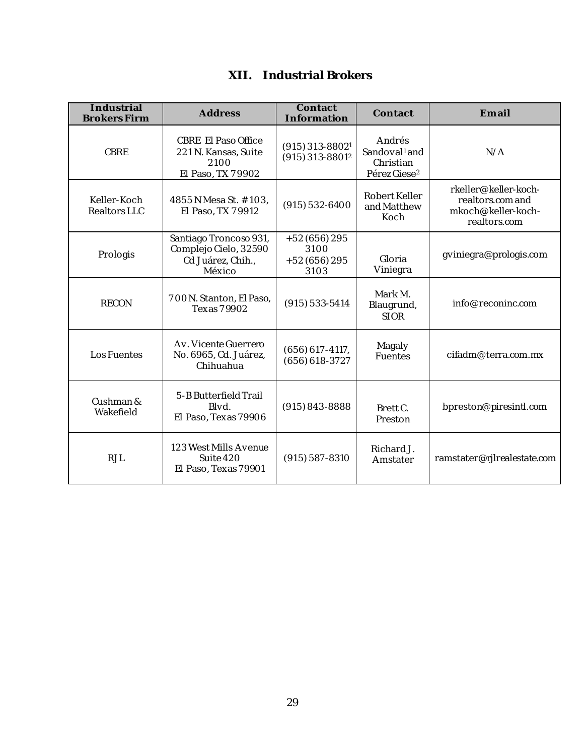<span id="page-30-0"></span>

| Industrial<br><b>Brokers Firm</b> | Address                                                                        | Contact<br>Information                             | Contact                                                                      | Email                                                                          |
|-----------------------------------|--------------------------------------------------------------------------------|----------------------------------------------------|------------------------------------------------------------------------------|--------------------------------------------------------------------------------|
| <b>CBRE</b>                       | CBRE El Paso Office<br>221 N. Kansas, Suite<br>2100<br>El Paso, TX 7 9902      | $(915)$ 313-8802 <sup>1</sup><br>$(915)$ 313-88012 | Andrés<br>Sandoval <sup>1</sup> and<br>Christian<br>Pérez Giese <sup>2</sup> | N/A                                                                            |
| Keller-Koch<br>Realtors LLC       | 4855 N Mesa St. #103,<br>El Paso, TX 7 9912                                    | $(915)$ 532-6400                                   | Robert Keller<br>and Matthew<br>Koch                                         | rkeller@keller-koch-<br>realtors.com and<br>mkoch@keller-koch-<br>realtors.com |
| Prologis                          | Santiago Troncoso 931,<br>Complejo Cielo, 32590<br>Cd Juárez, Chih.,<br>México | $+52(656)295$<br>3100<br>$+52(656)295$<br>3103     | Gloria<br>Viniegra                                                           | gviniegra@prologis.com                                                         |
| <b>RECON</b>                      | 700N. Stanton, El Paso,<br>Texas 7 9902                                        | $(915)$ 533-5414                                   | Mark M.<br>Blaugrund,<br><b>SLOR</b>                                         | info@reconinc.com                                                              |
| Los Fuentes                       | Av. Vicente Guerrero<br>No. 6965, Cd. Juárez,<br>Chihuahua                     | $(656) 617 - 4117$ ,<br>$(656)618 - 3727$          | Magaly<br>Fuentes                                                            | cifadm@terra.com.mx                                                            |
| Cushman &<br>Wakefield            | 5-B Butterfield Trail<br>Blvd.<br>El Paso, Texas 79906                         | $(915) 843 - 8888$                                 | Brett C.<br>Preston                                                          | bpreston@piresintl.com                                                         |
| <b>RJL</b>                        | 123 West Mills Avenue<br>Suite 420<br>El Paso, Texas 79901                     | $(915)$ 587 - 8310                                 | Richard J.<br>Amstater                                                       | ramstater@rjlrealestate.com                                                    |

## **XII. Industrial Brokers**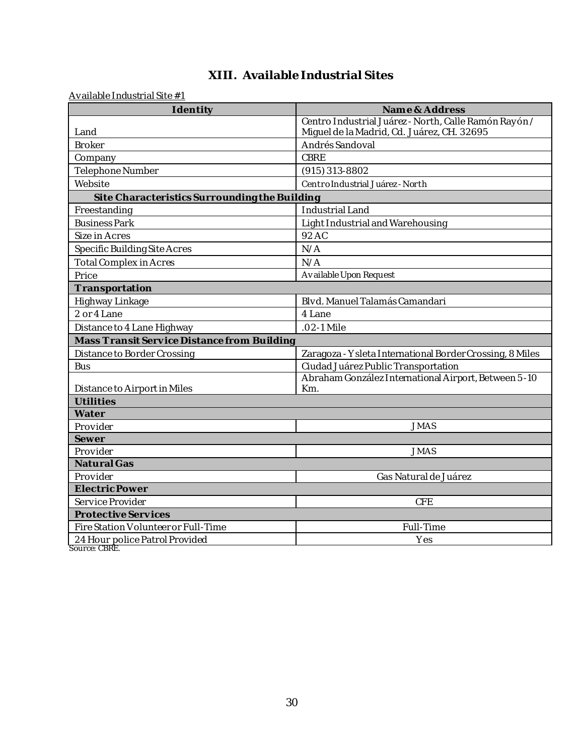## **XIII. Available Industrial Sites**

<span id="page-31-0"></span>Available Industrial Site #1

| Identity                                      | Name & Address                                            |  |
|-----------------------------------------------|-----------------------------------------------------------|--|
|                                               | Centro Industrial Juárez - North, Calle Ramón Rayón /     |  |
| Land                                          | Miguel de la Madrid, Cd. Juárez, CH. 32695                |  |
| <b>Broker</b>                                 | Andrés Sandoval                                           |  |
| Company                                       | CBRE                                                      |  |
| Telephone Number                              | $(915)$ 313-8802                                          |  |
| Website                                       | Centro Industrial Juárez - North                          |  |
| Site Characteristics Surrounding the Building |                                                           |  |
| Freestanding                                  | Industrial Land                                           |  |
| <b>Business Park</b>                          | Light Industrial and Warehousing                          |  |
| Size in Acres                                 | 92 AC                                                     |  |
| Specific Building Site Acres                  | N/A                                                       |  |
| <b>Total Complex in Acres</b>                 | N/A                                                       |  |
| Price                                         | Available Upon Request                                    |  |
| Transportation                                |                                                           |  |
| Highway Linkage                               | Blvd. Manuel Talamás Camandari                            |  |
| 2 or 4 Lane                                   | 4 Lane                                                    |  |
| Distance to 4 Lane Highway                    | .02-1 Mile                                                |  |
| Mass Transit Service Distance from Building   |                                                           |  |
| Distance to Border Crossing                   | Zaragoza - Y sleta International Border Crossing, 8 Miles |  |
| <b>Bus</b>                                    | Ciudad Juárez Public Transportation                       |  |
|                                               | Abraham González International Airport, Between 5-10      |  |
| Distance to Airport in Miles                  | Km.                                                       |  |
| Utilities                                     |                                                           |  |
| Water                                         |                                                           |  |
| Provider                                      | <b>JMAS</b>                                               |  |
| Sewer                                         |                                                           |  |
| Provider                                      | <b>JMAS</b>                                               |  |
| Natural Gas                                   |                                                           |  |
| Provider                                      | Gas Natural de Juárez                                     |  |
| Electric Power                                |                                                           |  |
| <b>CFE</b><br>Service Provider                |                                                           |  |
| Protective Services                           |                                                           |  |
| Fire Station Volunteer or Full-Time           | Full-Time                                                 |  |
| 24 Hour police Patrol Provided                | Yes                                                       |  |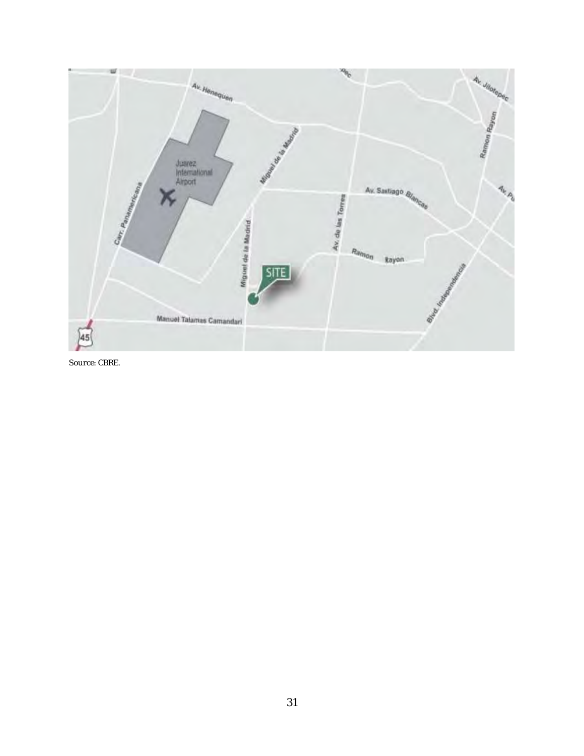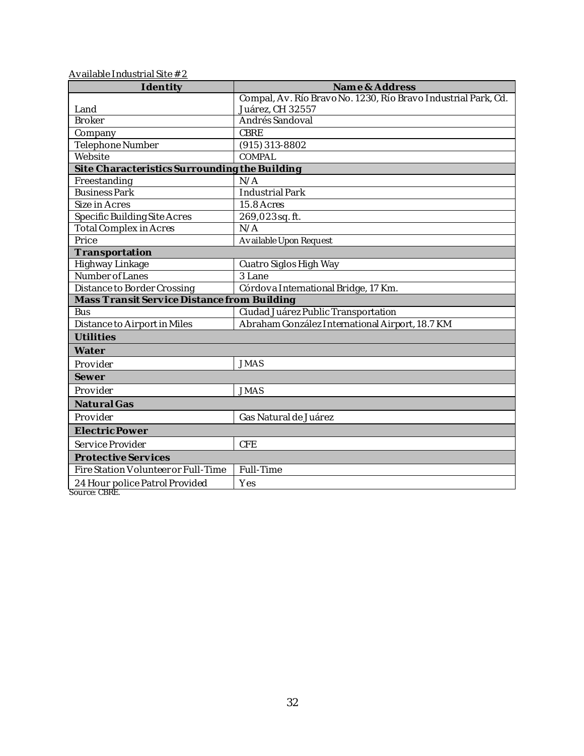| Available Industrial Site $\# 2$ |  |
|----------------------------------|--|
|                                  |  |

| Identity                                        | Name & Address                                                 |  |
|-------------------------------------------------|----------------------------------------------------------------|--|
|                                                 | Compal, Av. Río Bravo No. 1230, Río Bravo Industrial Park, Cd. |  |
| Land                                            | Juárez, CH 32557                                               |  |
| <b>Broker</b>                                   | Andrés Sandoval                                                |  |
| Company                                         | <b>CBRE</b>                                                    |  |
| Telephone Number                                | $(915)$ 313-8802                                               |  |
| Website                                         | COMPAL                                                         |  |
| Site Characteristics Surrounding the Building   |                                                                |  |
| Freestanding                                    | N/A                                                            |  |
| <b>Business Park</b>                            | <b>Industrial Park</b>                                         |  |
| Size in Acres                                   | 15.8 Acres                                                     |  |
| Specific Building Site Acres                    | 269,023sq.ft.                                                  |  |
| <b>Total Complex in Acres</b>                   | N/A                                                            |  |
| Price                                           | Available Upon Request                                         |  |
| Transportation                                  |                                                                |  |
| Highway Linkage                                 | Cuatro Siglos High Way                                         |  |
| Number of Lanes                                 | 3 Lane                                                         |  |
| Distance to Border Crossing                     | Córdova International Bridge, 17 Km.                           |  |
| Mass Transit Service Distance from Building     |                                                                |  |
| <b>Bus</b>                                      | Ciudad Juárez Public Transportation                            |  |
| Distance to Airport in Miles                    | Abraham González International Airport, 18.7 KM                |  |
| Utilities                                       |                                                                |  |
| Water                                           |                                                                |  |
| Provider                                        | <b>JMAS</b>                                                    |  |
| Sewer                                           |                                                                |  |
| Provider                                        | <b>JMAS</b>                                                    |  |
| Natural Gas                                     |                                                                |  |
| Provider                                        | Gas Natural de Juárez                                          |  |
| Electric Power                                  |                                                                |  |
| Service Provider                                | <b>CFE</b>                                                     |  |
| Protective Services                             |                                                                |  |
| Fire Station Volunteer or Full-Time             | Full-Time                                                      |  |
| 24 Hour police Patrol Provided<br>Source: CBRE. | Yes                                                            |  |

32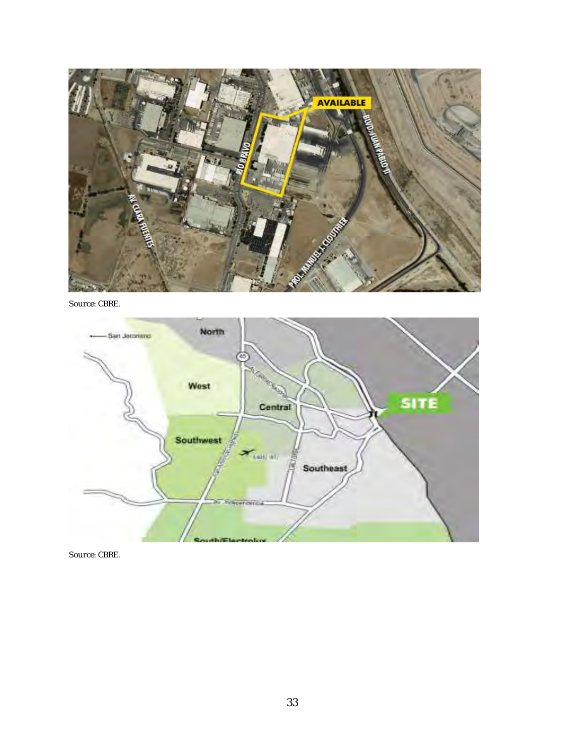

Source: CBRE.

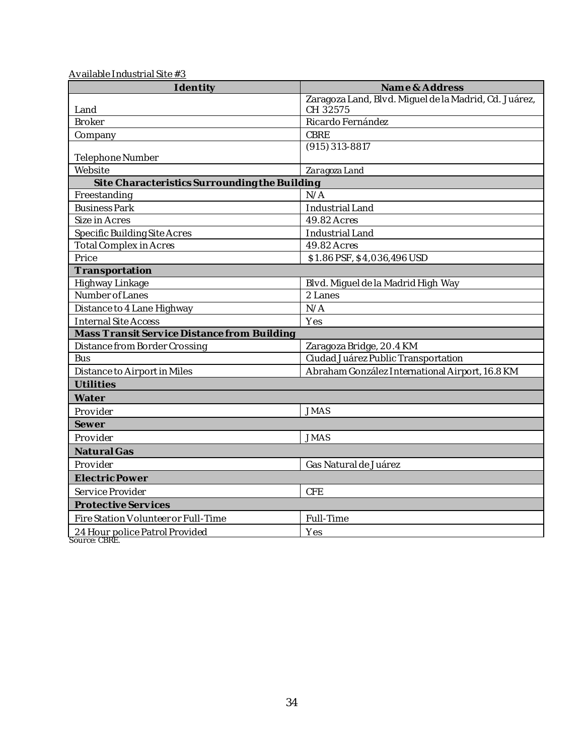| Identity                                      | Name & Address                                        |
|-----------------------------------------------|-------------------------------------------------------|
|                                               | Zaragoza Land, Blvd. Miguel de la Madrid, Cd. Juárez, |
| Land                                          | CH 32575                                              |
| <b>Broker</b>                                 | Ricardo Fernández                                     |
| Company                                       | CBRE                                                  |
| Telephone Number                              | $(915)$ 313-8817                                      |
| Website                                       | Zaragoza Land                                         |
| Site Characteristics Surrounding the Building |                                                       |
| Freestanding                                  | N/A                                                   |
| <b>Business Park</b>                          | Industrial Land                                       |
| Size in Acres                                 | 49.82 Acres                                           |
| Specific Building Site Acres                  | Industrial Land                                       |
| <b>Total Complex in Acres</b>                 | 49.82 Acres                                           |
| Price                                         | \$1.86 PSF, \$4,036,496 USD                           |
| Transportation                                |                                                       |
| Highway Linkage                               | Blvd. Miguel de la Madrid High Way                    |
| Number of Lanes                               | 2 Lanes                                               |
| Distance to 4 Lane Highway                    | N/A                                                   |
| <b>Internal Site Access</b>                   | Yes                                                   |
| Mass Transit Service Distance from Building   |                                                       |
| Distance from Border Crossing                 | Zaragoza Bridge, 20.4 KM                              |
| <b>Bus</b>                                    | Ciudad Juárez Public Transportation                   |
| Distance to Airport in Miles                  | Abraham González International Airport, 16.8 KM       |
| Utilities                                     |                                                       |
| Water                                         |                                                       |
| Provider                                      | <b>JMAS</b>                                           |
| Sewer                                         |                                                       |
| Provider                                      | <b>JMAS</b>                                           |
| <b>Natural Gas</b>                            |                                                       |
| Provider                                      | Gas Natural de Juárez                                 |
| Electric Power                                |                                                       |
| Service Provider                              | <b>CFE</b>                                            |
| Protective Services                           |                                                       |
| Fire Station Volunteer or Full-Time           | Full-Time                                             |
| 24 Hour police Patrol Provided                | Yes                                                   |

Available Industrial Site #3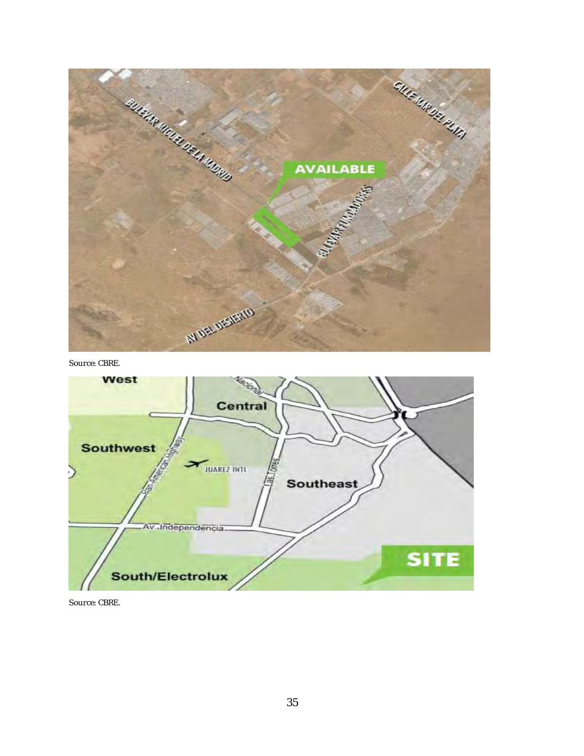

Source: CBRE.

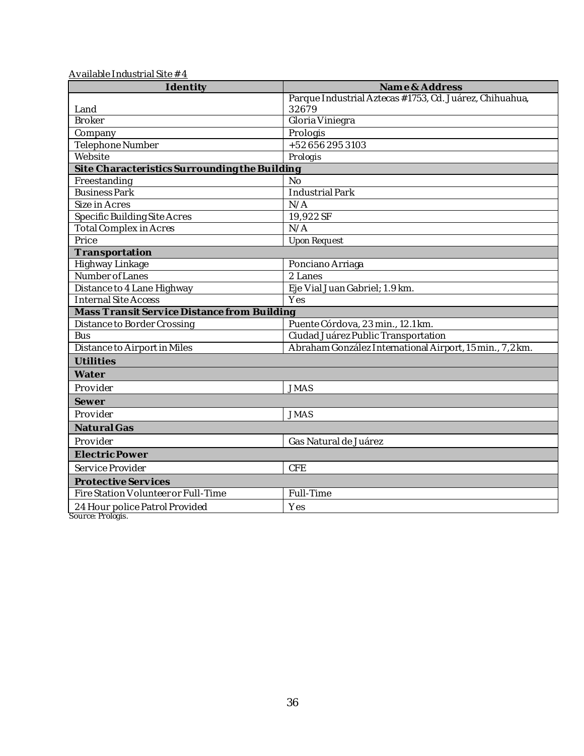| Identity                                      | Name & Address                                                           |
|-----------------------------------------------|--------------------------------------------------------------------------|
|                                               | Parque Industrial Aztecas #1753, Cd. Juárez, Chihuahua,                  |
| Land                                          | 32679                                                                    |
| <b>Broker</b>                                 | Gloria Viniegra                                                          |
| Company                                       | Prologis                                                                 |
| Telephone Number                              | +526562953103                                                            |
| Website                                       | Prologis                                                                 |
| Site Characteristics Surrounding the Building |                                                                          |
| Freestanding                                  | <b>No</b>                                                                |
| <b>Business Park</b>                          | Industrial Park                                                          |
| Size in Acres                                 | N/A                                                                      |
| Specific Building Site Acres                  | 19,922 SF                                                                |
| <b>Total Complex in Acres</b>                 | N/A                                                                      |
| Price                                         | Upon Request                                                             |
| Transportation                                |                                                                          |
| Highway Linkage                               | Ponciano Arriaga                                                         |
| Number of Lanes                               | 2 Lanes                                                                  |
| Distance to 4 Lane Highway                    | Eje Vial Juan Gabriel; 1.9 km.                                           |
| Internal Site Access                          | Yes                                                                      |
| Mass Transit Service Distance from Building   |                                                                          |
| Distance to Border Crossing<br><b>Bus</b>     | Puente Córdova, 23 min., 12.1 km.<br>Ciudad Juárez Public Transportation |
|                                               | Abraham González International Airport, 15 min., 7,2 km.                 |
| Distance to Airport in Miles                  |                                                                          |
| Utilities                                     |                                                                          |
| Water                                         |                                                                          |
| Provider                                      | <b>JMAS</b>                                                              |
| Sewer                                         |                                                                          |
| Provider                                      | <b>JMAS</b>                                                              |
| Natural Gas                                   |                                                                          |
| Provider                                      | Gas Natural de Juárez                                                    |
| Electric Power                                |                                                                          |
| Service Provider                              | <b>CFE</b>                                                               |
| Protective Services                           |                                                                          |
| Fire Station Volunteer or Full-Time           | Full-Time                                                                |
| 24 Hour police Patrol Provided                | Yes                                                                      |
|                                               |                                                                          |

Available Industrial Site # 4

Source: Prologis.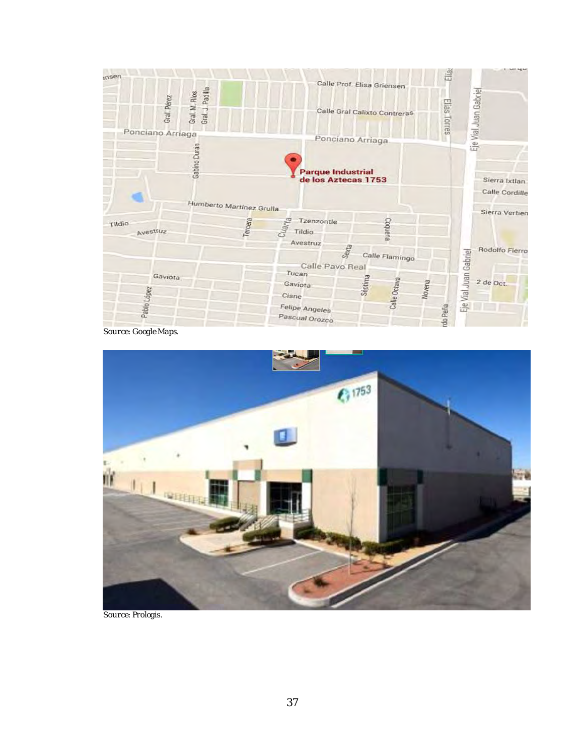

Source: Google Maps.



Source: Prologis.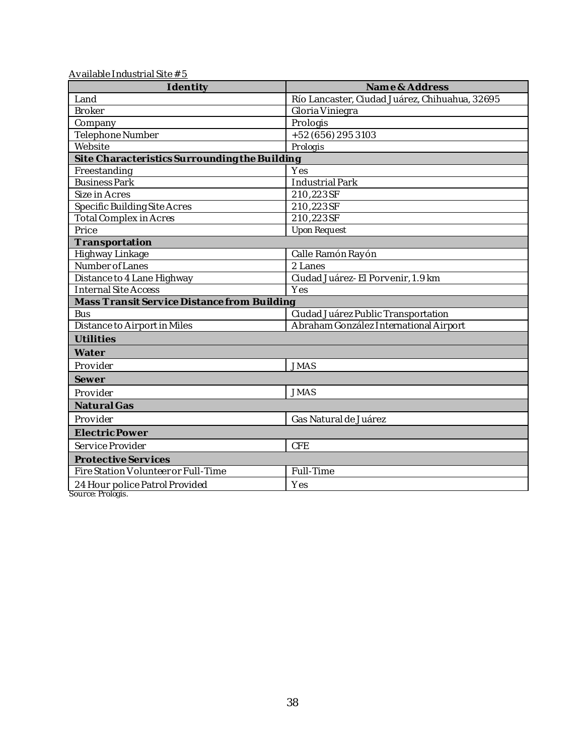| Identity                                      | Name & Address                                 |  |
|-----------------------------------------------|------------------------------------------------|--|
| Land                                          | Río Lancaster, Ciudad Juárez, Chihuahua, 32695 |  |
| <b>Broker</b>                                 | Gloria Viniegra                                |  |
| Company                                       | Prologis                                       |  |
| Telephone Number                              | +52 (656) 295 3103                             |  |
| Website                                       | Prologis                                       |  |
| Site Characteristics Surrounding the Building |                                                |  |
| Freestanding                                  | Yes                                            |  |
| <b>Business Park</b>                          | Industrial Park                                |  |
| Size in Acres                                 | 210,223SF                                      |  |
| Specific Building Site Acres                  | 210,223SF                                      |  |
| <b>Total Complex in Acres</b>                 | 210,223SF                                      |  |
| Price                                         | Upon Request                                   |  |
| Transportation                                |                                                |  |
| Highway Linkage                               | Calle Ramón Rayón                              |  |
| Number of Lanes                               | 2 Lanes                                        |  |
| Distance to 4 Lane Highway                    | Ciudad Juárez- El Porvenir, 1.9 km             |  |
| Internal Site Access                          | Yes                                            |  |
| Mass Transit Service Distance from Building   |                                                |  |
| <b>Bus</b>                                    | Ciudad Juárez Public Transportation            |  |
| Distance to Airport in Miles                  | Abraham González International Airport         |  |
| Utilities                                     |                                                |  |
| Water                                         |                                                |  |
| Provider                                      | <b>JMAS</b>                                    |  |
| Sewer                                         |                                                |  |
| Provider                                      | <b>JMAS</b>                                    |  |
| Natural Gas                                   |                                                |  |
| Provider                                      | Gas Natural de Juárez                          |  |
| Electric Power                                |                                                |  |
| Service Provider                              | <b>CFE</b>                                     |  |
| Protective Services                           |                                                |  |
| Fire Station Volunteer or Full-Time           | Full-Time                                      |  |
| 24 Hour police Patrol Provided                | Yes                                            |  |
| Source: Prologis.                             |                                                |  |

Available Industrial Site # 5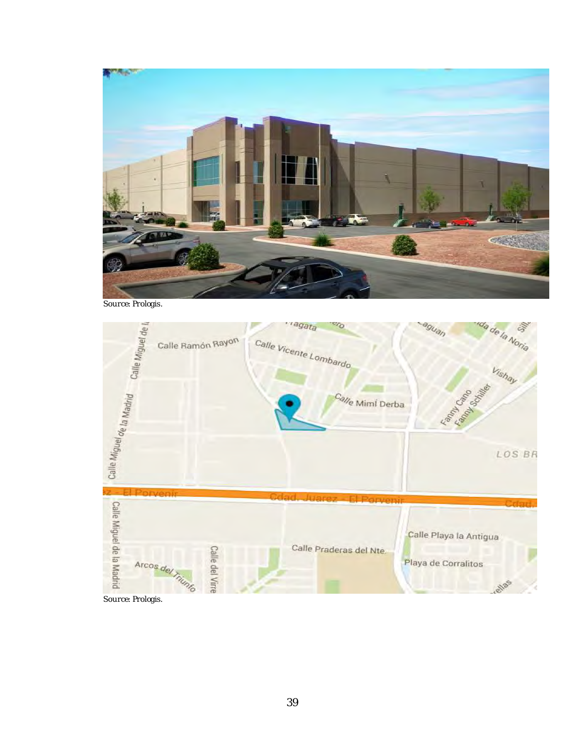

Source: Prologis.

![](_page_40_Figure_2.jpeg)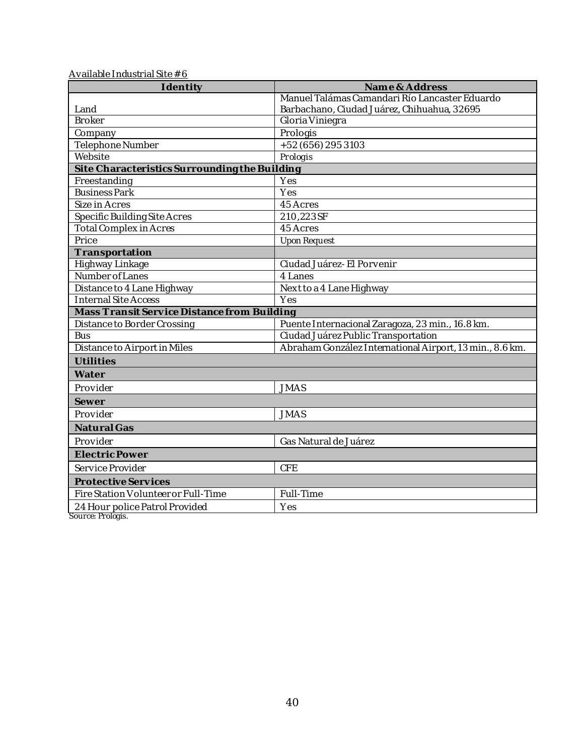| Identity                                            | Name & Address                                           |
|-----------------------------------------------------|----------------------------------------------------------|
|                                                     | Manuel Talámas Camandari Río Lancaster Eduardo           |
| Land                                                | Barbachano, Ciudad Juárez, Chihuahua, 32695              |
| <b>Broker</b>                                       | Gloria Viniegra                                          |
| Company                                             | Prologis                                                 |
| Telephone Number                                    | +52 (656) 295 3103                                       |
| Website                                             | Prologis                                                 |
| Site Characteristics Surrounding the Building       |                                                          |
| Freestanding                                        | Yes                                                      |
| <b>Business Park</b>                                | Yes                                                      |
| Size in Acres                                       | 45 Acres                                                 |
| Specific Building Site Acres                        | 210,223SF                                                |
| Total Complex in Acres                              | 45 Acres                                                 |
| Price                                               | Upon Request                                             |
| Transportation                                      |                                                          |
| Highway Linkage                                     | Ciudad Juárez- El Porvenir                               |
| Number of Lanes                                     | 4 Lanes                                                  |
| Distance to 4 Lane Highway                          | Next to a 4 Lane Highway                                 |
| <b>Internal Site Access</b>                         | Yes                                                      |
| Mass Transit Service Distance from Building         |                                                          |
| Distance to Border Crossing                         | Puente Internacional Zaragoza, 23 min., 16.8 km.         |
| <b>Bus</b>                                          | Ciudad Juárez Public Transportation                      |
| Distance to Airport in Miles                        | Abraham González International Airport, 13 min., 8.6 km. |
| Utilities                                           |                                                          |
| Water                                               |                                                          |
| Provider                                            | <b>JMAS</b>                                              |
| Sewer                                               |                                                          |
| Provider                                            | <b>JMAS</b>                                              |
| Natural Gas                                         |                                                          |
| Provider                                            | Gas Natural de Juárez                                    |
| Electric Power                                      |                                                          |
| Service Provider                                    | <b>CFE</b>                                               |
| Protective Services                                 |                                                          |
| Fire Station Volunteer or Full-Time                 | Full-Time                                                |
| 24 Hour police Patrol Provided<br>Source: Prologis. | Yes                                                      |

Available Industrial Site  $# 6$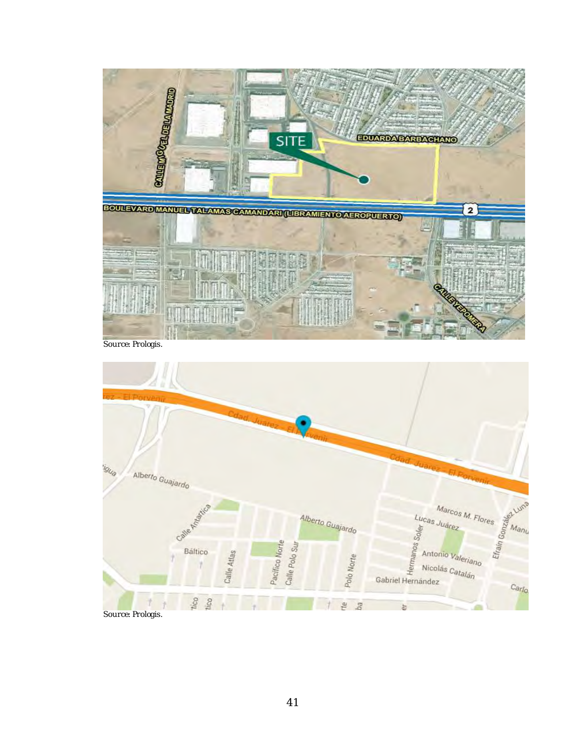![](_page_42_Picture_0.jpeg)

Source: Prologis.

![](_page_42_Figure_2.jpeg)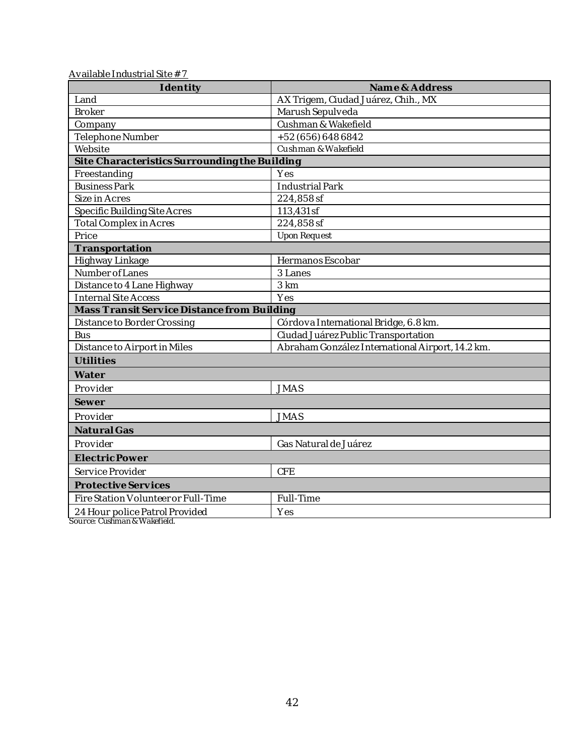| 10 and Division of the United States of the United States of the United States of the U<br>Identity | Name & Address                                   |  |
|-----------------------------------------------------------------------------------------------------|--------------------------------------------------|--|
| Land                                                                                                | AX Trigem, Ciudad Juárez, Chih., MX              |  |
| <b>Broker</b>                                                                                       | Marush Sepulveda                                 |  |
| Company                                                                                             | Cushman & Wakefield                              |  |
| Telephone Number                                                                                    | +52 (656) 648 6842                               |  |
| Website                                                                                             | Cushman & Wakefield                              |  |
| Site Characteristics Surrounding the Building                                                       |                                                  |  |
| Freestanding                                                                                        | Yes                                              |  |
| <b>Business Park</b>                                                                                | Industrial Park                                  |  |
| Size in Acres                                                                                       | 224,858sf                                        |  |
| Specific Building Site Acres                                                                        | 113,431 sf                                       |  |
| <b>Total Complex in Acres</b>                                                                       | 224,858sf                                        |  |
| Price                                                                                               | Upon Request                                     |  |
| Transportation                                                                                      |                                                  |  |
| Highway Linkage                                                                                     | Hermanos Escobar                                 |  |
| Number of Lanes                                                                                     | 3 Lanes                                          |  |
| Distance to 4 Lane Highway                                                                          | 3 km                                             |  |
| <b>Internal Site Access</b>                                                                         | Yes                                              |  |
| Mass Transit Service Distance from Building                                                         |                                                  |  |
| Distance to Border Crossing                                                                         | Córdova International Bridge, 6.8 km.            |  |
| <b>Bus</b>                                                                                          | Ciudad Juárez Public Transportation              |  |
| Distance to Airport in Miles                                                                        | Abraham González International Airport, 14.2 km. |  |
| Utilities                                                                                           |                                                  |  |
| Water                                                                                               |                                                  |  |
| Provider                                                                                            | <b>JMAS</b>                                      |  |
| Sewer                                                                                               |                                                  |  |
| Provider                                                                                            | <b>JMAS</b>                                      |  |
| Natural Gas                                                                                         |                                                  |  |
| Provider                                                                                            | Gas Natural de Juárez                            |  |
| Electric Power                                                                                      |                                                  |  |
| Service Provider                                                                                    | <b>CFE</b>                                       |  |
| Protective Services                                                                                 |                                                  |  |
| Fire Station Volunteer or Full-Time                                                                 | Full-Time                                        |  |
| 24 Hour police Patrol Provided                                                                      | Yes                                              |  |

Available Industrial Site # 7

Source: Cushman & Wakefield.